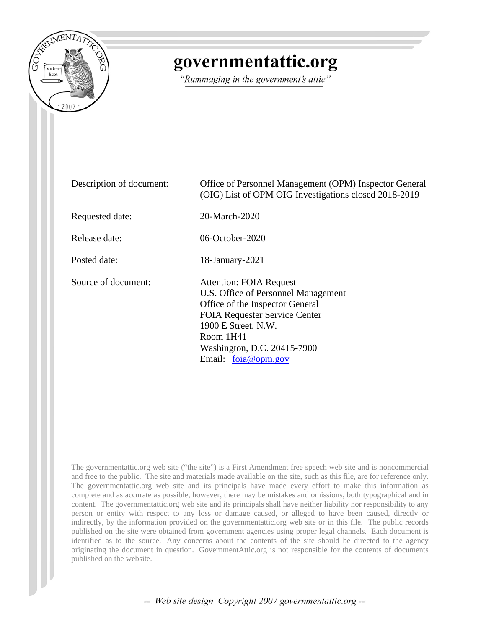

## governmentattic.org

"Rummaging in the government's attic"

| Description of document: | Office of Personnel Management (OPM) Inspector General<br>(OIG) List of OPM OIG Investigations closed 2018-2019                                                                                                                            |
|--------------------------|--------------------------------------------------------------------------------------------------------------------------------------------------------------------------------------------------------------------------------------------|
| Requested date:          | 20-March-2020                                                                                                                                                                                                                              |
| Release date:            | 06-October-2020                                                                                                                                                                                                                            |
| Posted date:             | 18-January-2021                                                                                                                                                                                                                            |
| Source of document:      | <b>Attention: FOIA Request</b><br>U.S. Office of Personnel Management<br>Office of the Inspector General<br><b>FOIA Requester Service Center</b><br>1900 E Street, N.W.<br>Room 1H41<br>Washington, D.C. 20415-7900<br>Email: foia@opm.gov |

The governmentattic.org web site ("the site") is a First Amendment free speech web site and is noncommercial and free to the public. The site and materials made available on the site, such as this file, are for reference only. The governmentattic.org web site and its principals have made every effort to make this information as complete and as accurate as possible, however, there may be mistakes and omissions, both typographical and in content. The governmentattic.org web site and its principals shall have neither liability nor responsibility to any person or entity with respect to any loss or damage caused, or alleged to have been caused, directly or indirectly, by the information provided on the governmentattic.org web site or in this file. The public records published on the site were obtained from government agencies using proper legal channels. Each document is identified as to the source. Any concerns about the contents of the site should be directed to the agency originating the document in question. GovernmentAttic.org is not responsible for the contents of documents published on the website.

-- Web site design Copyright 2007 governmentattic.org --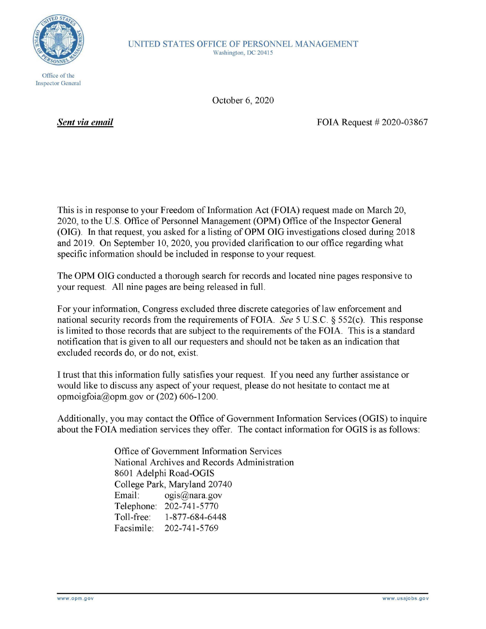

UNITED STATES OFFICE OF PERSONNEL MANAGEMENT Washington, DC 20415

Office of the Inspector General

October 6, 2020

*Sent via email* 

FOIA Request # 2020-03867

This is in response to your Freedom of Information Act (FOIA) request made on March 20, 2020, to the U.S. Office of Personnel Management (OPM) Office of the Inspector General (OIG). In that request, you asked for a listing of OPM OIG investigations closed during 2018 and 2019. On September 10, 2020, you provided clarification to our office regarding what specific information should be included in response to your request.

The OPM OIG conducted a thorough search for records and located nine pages responsive to your request. All nine pages are being released in full.

For your information, Congress excluded three discrete categories of law enforcement and national security records from the requirements ofFOIA. *See* 5 U.S.C. § 552(c). This response is limited to those records that are subject to the requirements of the FOIA. This is a standard notification that is given to all our requesters and should not be taken as an indication that excluded records do, or do not, exist.

I trust that this information fully satisfies your request. If you need any further assistance or would like to discuss any aspect of your request, please do not hesitate to contact me at opmoigfoia@opm.gov or (202) 606-1200.

Additionally, you may contact the Office of Government Information Services **(OGIS)** to inquire about the FOIA mediation services they offer. The contact information for OGIS is as follows:

> Office of Government Information Services National Archives and Records Administration 8601 Adelphi Road-OGIS College Park, Maryland 20740 Email: ogis@nara.gov Telephone: 202-741-5770 Toll-free: 1-877-684-6448 Facsimile: 202-741-5769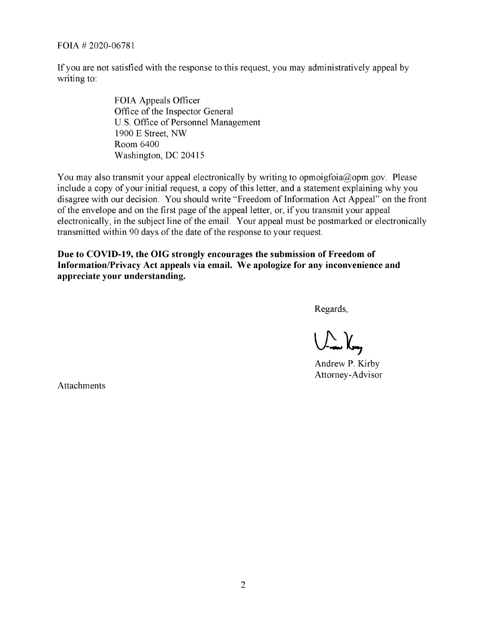FOIA # 2020-06781

If you are not satisfied with the response to this request, you may administratively appeal by writing to:

> FOIA Appeals Officer Office of the Inspector General U.S. Office of Personnel Management 1900 E Street, NW Room 6400 Washington, DC 20415

You may also transmit your appeal electronically by writing to opmoigfoia@opm.gov. Please include a copy of your initial request, a copy of this letter, and a statement explaining why you disagree with our decision. You should write "Freedom of Information Act Appeal" on the front of the envelope and on the first page of the appeal letter, or, if you transmit your appeal electronically, in the subject line of the email. Your appeal must be postmarked or electronically transmitted within 90 days of the date of the response to your request.

**Due to COVID-19, the OIG strongly encourages the submission of Freedom of Information/Privacy Act appeals via email. We apologize for any inconvenience and appreciate your understanding.** 

Regards,

 $\bigcup_{\rightarrow\infty}\bigcup_{\rightarrow\infty}$ 

Andrew P. Kirby Attorney-Advisor

Attachments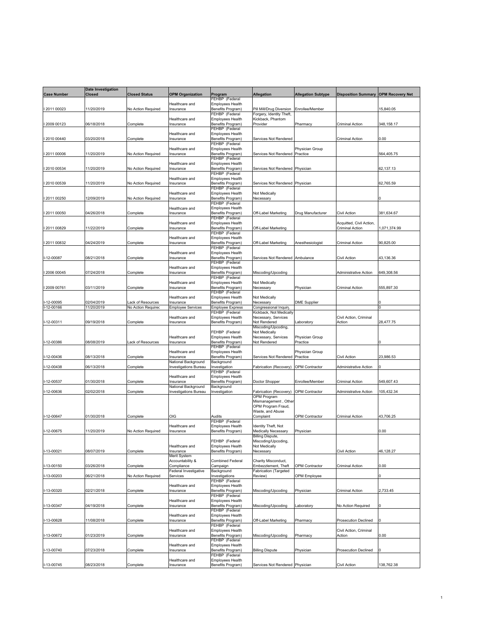|                    | <b>Date Investigation</b> |                                        |                                                     |                                              |                                                 |                       |                                             |                         |
|--------------------|---------------------------|----------------------------------------|-----------------------------------------------------|----------------------------------------------|-------------------------------------------------|-----------------------|---------------------------------------------|-------------------------|
| <b>Case Number</b> | <b>Closed</b>             | Closed Status                          | <b>OPM Organization</b>                             | Program<br>FEHBP (Federal                    | Allegation                                      | Allegation Subtype    | <b>Disposition Summary</b>                  | <b>OPM Recovery Net</b> |
|                    |                           |                                        | Healthcare and                                      | Employees Health                             |                                                 |                       |                                             |                         |
| 2011 00023         | 11/20/2019                | No Action Required                     | nsurance                                            | Benefits Program)                            | Pill Mill/Drug Diversion                        | Enrollee/Member       |                                             | 15,840.05               |
|                    |                           |                                        |                                                     | FEHBP (Federal                               | Forgery, Identity Theft,                        |                       |                                             |                         |
| 12009 00123        | 06/18/2018                | Complete                               | Healthcare and<br>Insurance                         | Employees Health<br>Benefits Program)        | Kickback, Phantom<br>Provider                   | Pharmacy              | Criminal Action                             | 348,158.17              |
|                    |                           |                                        |                                                     | FEHBP (Federal                               |                                                 |                       |                                             |                         |
|                    |                           |                                        | Healthcare and                                      | Employees Health                             |                                                 |                       |                                             |                         |
| 2010 00440         | 03/20/2018                | Complete                               | Insurance                                           | Benefits Program)<br>FEHBP (Federal          | Services Not Rendered                           |                       | Criminal Action                             | 0.00                    |
|                    |                           |                                        | Healthcare and                                      | Employees Health                             |                                                 | Physician Group       |                                             |                         |
| I 2011 00006       | 11/20/2019                | No Action Required                     | Insurance                                           | Benefits Program)                            | <b>Services Not Rendered</b>                    | Practice              |                                             | 564,405.75              |
|                    |                           |                                        | Healthcare and                                      | FEHBP (Federal<br>Employees Health           |                                                 |                       |                                             |                         |
| I 2010 00534       | 11/20/2019                | No Action Required                     | Insurance                                           | Benefits Program)                            | Services Not Rendered                           | Physician             |                                             | 62,137.13               |
|                    |                           |                                        |                                                     | FEHBP (Federal                               |                                                 |                       |                                             |                         |
|                    |                           |                                        | Healthcare and                                      | Employees Health                             |                                                 |                       |                                             |                         |
| 2010 00539         | 11/20/2019                | No Action Required                     | Insurance                                           | Benefits Program)<br>FEHBP (Federal          | Services Not Rendered                           | Physician             |                                             | 62,765.59               |
|                    |                           |                                        | Healthcare and                                      | <b>Employees Health</b>                      | Not Medically                                   |                       |                                             |                         |
| 2011 00250         | 12/09/2019                | No Action Required                     | Insurance                                           | Benefits Program)                            | Necessary                                       |                       |                                             |                         |
|                    |                           |                                        | Healthcare and                                      | FEHBP (Federal<br>Employees Health           |                                                 |                       |                                             |                         |
| 2011 00050         | 04/26/2018                | Complete                               | nsurance                                            | Benefits Program)                            | Off-Label Marketing                             | Drug Manufacturer     | Civil Action                                | 381,634.67              |
|                    |                           |                                        |                                                     | FEHBP (Federal                               |                                                 |                       |                                             |                         |
| 1201100829         | 11/22/2019                | Complete                               | Healthcare and<br>nsurance                          | Employees Health<br>Benefits Program)        | Off-Label Marketing                             |                       | Acquitted, Civil Action,<br>Criminal Action | 1,071,374.99            |
|                    |                           |                                        |                                                     | FEHBP (Federal                               |                                                 |                       |                                             |                         |
|                    |                           |                                        | Healthcare and                                      | <b>Employees Health</b>                      |                                                 |                       |                                             |                         |
| 2011 00832         | 04/24/2019                | Complete                               | Insurance                                           | Benefits Program)<br>FEHBP (Federal          | Off-Label Marketing                             | Anesthesiologist      | Criminal Action                             | 90,825.00               |
|                    |                           |                                        | Healthcare and                                      | <b>Employees Health</b>                      |                                                 |                       |                                             |                         |
| I-12-00087         | 08/21/2018                | Complete                               | Insurance                                           | Benefits Program)                            | Services Not Rendered Ambulance                 |                       | Civil Action                                | 43,136.36               |
|                    |                           |                                        | Healthcare and                                      | FEHBP (Federal<br><b>Employees Health</b>    |                                                 |                       |                                             |                         |
| I 2006 00045       | 07/24/2018                | Complete                               | Insurance                                           | Benefits Program)                            | Miscoding/Upcoding                              |                       | <b>Administrative Action</b>                | 649.308.56              |
|                    |                           |                                        |                                                     | FEHBP (Federal                               |                                                 |                       |                                             |                         |
| 2009 00761         | 03/11/2019                |                                        | Healthcare and<br>Insurance                         | Employees Health<br>Benefits Program)        | Not Medically<br>Necessary                      | Physician             | Criminal Action                             | 555,897.30              |
|                    |                           | Complete                               |                                                     | FEHBP (Federal                               |                                                 |                       |                                             |                         |
|                    |                           |                                        | Healthcare and                                      | Employees Health                             | Not Medically                                   |                       |                                             |                         |
| 12-00095           | 02/04/2019<br>11/20/2019  | ack of Resources<br>No Action Requirec | nsurance                                            | Benefits Program)<br><b>Employee Express</b> | Necessary                                       | <b>DME Supplier</b>   |                                             |                         |
| $I-12-00166$       |                           |                                        | Employee Services                                   | FEHBP (Federal                               | Congressional Inquin<br>Kickback, Not Medically |                       |                                             |                         |
|                    |                           |                                        | Healthcare and                                      | <b>Employees Health</b>                      | Necessary, Services                             |                       | Civil Action, Criminal                      |                         |
| I-12-00311         | 09/19/2018                | Complete                               | Insurance                                           | Benefits Program)                            | Not Rendered<br>Miscoding/Upcoding,             | aboratory             | Action                                      | 28,477.75               |
|                    |                           |                                        |                                                     | FEHBP (Federal                               | Not Medically                                   |                       |                                             |                         |
|                    |                           |                                        | Healthcare and                                      | <b>Employees Health</b>                      | Necessary, Services                             | Physician Group       |                                             |                         |
| I-12-00386         | 08/08/2019                | Lack of Resources                      | Insurance                                           | Benefits Program)<br>FEHBP (Federal          | Not Rendered                                    | Practice              |                                             |                         |
|                    |                           |                                        | Healthcare and                                      | Employees Health                             |                                                 | Physician Group       |                                             |                         |
| I-12-00436         | 08/13/2018                | Complete                               | nsurance                                            | Benefits Program)                            | <b>Services Not Rendered</b>                    | Practice              | Civil Action                                | 23,986.53               |
| I-12-00438         | 06/13/2018                | Complete                               | National Background<br><b>Investigations Bureau</b> | Background<br>nvestigation                   | Fabrication (Recovery)                          | <b>OPM Contractor</b> | <b>Administrative Action</b>                |                         |
|                    |                           |                                        |                                                     | FEHBP (Federal                               |                                                 |                       |                                             |                         |
|                    |                           |                                        | Healthcare and                                      | Employees Health                             |                                                 |                       |                                             |                         |
| -12-00537          | 01/30/2018                | Complete                               | Insurance<br>National Background                    | Benefits Program)<br>Background              | Doctor Shopper                                  | Enrollee/Member       | Criminal Action                             | 549,607.43              |
| I-12-00636         | 02/02/2018                | Complete                               | <b>Investigations Bureau</b>                        | nvestigation                                 | Fabrication (Recovery)                          | OPM Contractor        | <b>Administrative Action</b>                | 105,432.34              |
|                    |                           |                                        |                                                     |                                              | OPM Program                                     |                       |                                             |                         |
|                    |                           |                                        |                                                     |                                              | Mismanagement, Other<br>OPM Program Fraud,      |                       |                                             |                         |
|                    |                           |                                        |                                                     |                                              | Waste, and Abuse                                |                       |                                             |                         |
| I-12-00647         | 01/30/2018                | Complete                               | OIG                                                 | Audits                                       | Complaint                                       | <b>OPM Contractor</b> | Criminal Action                             | 43,706.25               |
|                    |                           |                                        | Healthcare and                                      | FEHBP (Federal                               |                                                 |                       |                                             |                         |
| I-12-00675         | 11/20/2019                | No Action Required                     | Insurance                                           | Employees Health<br>Benefits Program)        | Identity Theft, Not<br>Medically Necessary      | Physician             |                                             | 0.00                    |
|                    |                           |                                        |                                                     |                                              | Billing Dispute,                                |                       |                                             |                         |
|                    |                           |                                        | Healthcare and                                      | FEHBP (Federal<br><b>Employees Health</b>    | Miscoding/Upcoding,<br>Not Medically            |                       |                                             |                         |
| I-13-00021         | 08/07/2019                | Complete                               | Insurance                                           | Benefits Program)                            | Necessary                                       |                       | Civil Action                                | 46,128.27               |
|                    |                           |                                        | Merit System                                        |                                              |                                                 |                       |                                             |                         |
| I-13-00150         | 03/26/2018                |                                        | Accountability &<br>Compliance                      | <b>Combined Federal</b><br>Campaign          | Charity Misconduct,<br>Embezzlement, Theft      | <b>OPM Contractor</b> | <b>Criminal Action</b>                      | 0.00                    |
|                    |                           | Complete                               | Federal Investigative                               | Background                                   | <b>Fabrication (Targeted</b>                    |                       |                                             |                         |
| I-13-00203         | 06/21/2018                | No Action Required                     | Services                                            | nvestigations                                | Review)                                         | <b>OPM Employee</b>   |                                             |                         |
|                    |                           |                                        |                                                     | FEHBP (Federal<br><b>Employees Health</b>    |                                                 |                       |                                             |                         |
| I-13-00320         | 02/21/2018                | Complete                               | Healthcare and<br>Insurance                         | Benefits Program)                            | Miscoding/Upcoding                              | hysician              | Criminal Action                             | 2,733.45                |
|                    |                           |                                        |                                                     | FEHBP (Federal                               |                                                 |                       |                                             |                         |
| I-13-00347         | 04/19/2018                | Complete                               | Healthcare and<br>Insurance                         | <b>Employees Health</b><br>Benefits Program) | Miscoding/Upcoding                              | aboratory.            | No Action Required                          |                         |
|                    |                           |                                        |                                                     | FEHBP (Federal                               |                                                 |                       |                                             |                         |
|                    |                           |                                        | Healthcare and                                      | <b>Employees Health</b>                      |                                                 |                       |                                             |                         |
| I-13-00628         | 11/08/2018                | Complete                               | Insurance                                           | Benefits Program)                            | Off-Label Marketing                             | Pharmacy              | <b>Prosecution Declined</b>                 |                         |
|                    |                           |                                        | Healthcare and                                      | FEHBP (Federal<br>Employees Health           |                                                 |                       | Civil Action, Criminal                      |                         |
| I-13-00672         | 01/23/2019                | Complete                               | Insurance                                           | Benefits Program)                            | Miscoding/Upcoding                              | Pharmacy              | Action                                      | 0.00                    |
|                    |                           |                                        |                                                     | FEHBP (Federal                               |                                                 |                       |                                             |                         |
| I-13-00740         | 07/23/2018                | Complete                               | Healthcare and<br>Insurance                         | <b>Employees Health</b><br>Benefits Program) | <b>Billing Dispute</b>                          | <sup>2</sup> hysician | <b>Prosecution Declined</b>                 |                         |
|                    |                           |                                        |                                                     | FEHBP (Federal                               |                                                 |                       |                                             |                         |
|                    |                           |                                        | Healthcare and                                      | Employees Health                             |                                                 |                       |                                             |                         |
| I-13-00745         | 08/23/2018                | Complete                               | Insurance                                           | Benefits Program)                            | Services Not Rendered Physician                 |                       | Civil Action                                | 138,762.38              |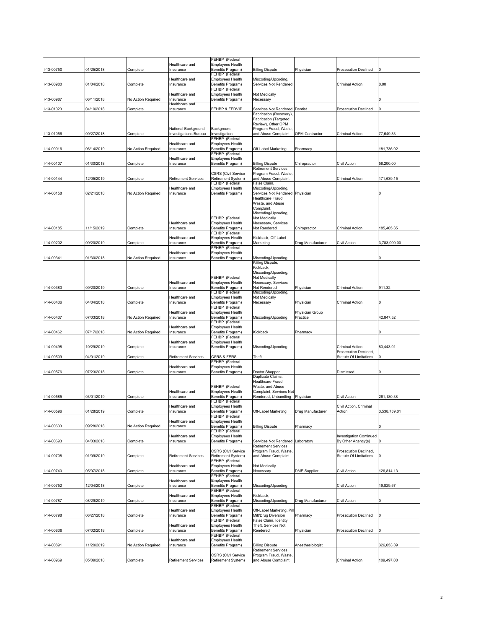|              |            |                    |                              | FEHBP (Federal                                   |                                              |                       |                                |              |
|--------------|------------|--------------------|------------------------------|--------------------------------------------------|----------------------------------------------|-----------------------|--------------------------------|--------------|
|              |            |                    | Healthcare and               | <b>Employees Health</b>                          |                                              |                       |                                |              |
| I-13-00750   | 01/25/2018 | Complete           | Insurance                    | Benefits Program)                                | <b>Billing Dispute</b>                       | Physician             | <b>Prosecution Declined</b>    |              |
|              |            |                    |                              | FEHBP (Federal                                   |                                              |                       |                                |              |
|              |            |                    | Healthcare and               | Employees Health                                 | Miscoding/Upcoding                           |                       |                                |              |
| I-13-00980   | 01/04/2018 | Complete           | nsurance                     | Benefits Program)                                | <b>Services Not Rendered</b>                 |                       | Criminal Action                | 0.00         |
|              |            |                    |                              | FEHBP (Federal                                   |                                              |                       |                                |              |
|              |            |                    | Healthcare and               | Employees Health                                 | Not Medically                                |                       |                                |              |
| I-13-00987   | 06/11/2018 | No Action Required | nsurance                     | Benefits Program)                                | Necessary                                    |                       |                                |              |
|              |            |                    | Healthcare and               |                                                  |                                              |                       |                                |              |
| I-13-01023   | 04/10/2018 | Complete           | Insurance                    | FEHBP & FEDVIP                                   | <b>Services Not Rendered</b>                 | Dentist               | <b>Prosecution Declined</b>    | 0            |
|              |            |                    |                              |                                                  | Fabrication (Recovery)                       |                       |                                |              |
|              |            |                    |                              |                                                  | Fabrication (Targeted                        |                       |                                |              |
|              |            |                    |                              |                                                  | Review), Other OPM                           |                       |                                |              |
|              |            |                    | National Background          | Background                                       | Program Fraud, Waste                         |                       |                                |              |
| I-13-01056   | 09/27/2018 | Complete           | <b>Investigations Bureau</b> | Investigation                                    | and Abuse Complaint                          | <b>OPM Contractor</b> | Criminal Action                | 77,649.33    |
|              |            |                    |                              | FEHBP (Federal                                   |                                              |                       |                                |              |
|              |            |                    | Healthcare and               | Employees Health                                 |                                              |                       |                                |              |
| I-14-00016   | 06/14/2019 | No Action Required | Insurance                    | Benefits Program)                                | Off-Label Marketing                          | Pharmacy              |                                | 181,736.92   |
|              |            |                    |                              | FEHBP (Federal                                   |                                              |                       |                                |              |
|              |            |                    | Healthcare and               | <b>Employees Health</b>                          |                                              |                       |                                |              |
| I-14-00107   | 01/30/2018 | Complete           | Insurance                    | Benefits Program)                                | <b>Billing Dispute</b>                       | Chiropractor          | Civil Action                   | 58,200.00    |
|              |            |                    |                              |                                                  | Retirement Services                          |                       |                                |              |
|              |            |                    |                              | <b>CSRS (Civil Service</b>                       | Program Fraud, Waste                         |                       |                                |              |
| I-14-00144   | 12/05/2019 | Complete           | Retirement Services          | Retirement System)                               | and Abuse Complaint                          |                       | Criminal Action                | 171,639.15   |
|              |            |                    |                              | FEHBP (Federal                                   | False Claim,                                 |                       |                                |              |
|              |            |                    | Healthcare and               | Employees Health                                 | Miscoding/Upcoding,                          |                       |                                |              |
| I-14-00158   | 02/21/2018 | No Action Required | Insurance                    | Benefits Program)                                | Services Not Rendered                        | Physician             |                                |              |
|              |            |                    |                              |                                                  | Healthcare Fraud,                            |                       |                                |              |
|              |            |                    |                              |                                                  | Waste, and Abuse                             |                       |                                |              |
|              |            |                    |                              |                                                  | Complaint,                                   |                       |                                |              |
|              |            |                    |                              |                                                  | Miscoding/Upcoding,                          |                       |                                |              |
|              |            |                    |                              | FEHBP (Federal                                   | Not Medically                                |                       |                                |              |
|              |            |                    | Healthcare and               | <b>Employees Health</b>                          | Necessary, Services                          |                       |                                |              |
|              |            |                    |                              |                                                  |                                              |                       |                                |              |
| I-14-00185   | 11/15/2019 | Complete           | Insurance                    | Benefits Program)                                | Not Rendered                                 | Chiropractor          | Criminal Action                | 185,405.35   |
|              |            |                    |                              | FEHBP (Federal                                   |                                              |                       |                                |              |
|              |            |                    | Healthcare and               | <b>Employees Health</b>                          | Kickback, Off-Label                          |                       |                                |              |
| I-14-00202   | 09/20/2019 | Complete           | Insurance                    | Benefits Program)                                | Marketing                                    | Drug Manufacturer     | Civil Action                   | 3,783,000.00 |
|              |            |                    |                              | FEHBP (Federal                                   |                                              |                       |                                |              |
|              |            |                    | Healthcare and               | Employees Health                                 |                                              |                       |                                |              |
| I-14-00341   | 01/30/2018 | No Action Required | Insurance                    | Benefits Program)                                | Miscoding/Upcoding                           |                       |                                |              |
|              |            |                    |                              |                                                  | <b>Billing Dispute,</b>                      |                       |                                |              |
|              |            |                    |                              |                                                  | Kickback,                                    |                       |                                |              |
|              |            |                    |                              |                                                  | Miscoding/Upcoding,                          |                       |                                |              |
|              |            |                    |                              | FEHBP (Federal                                   | Not Medically                                |                       |                                |              |
|              |            |                    | Healthcare and               | <b>Employees Health</b>                          | Necessary, Services                          |                       |                                |              |
| I-14-00380   | 09/20/2019 | Complete           | Insurance                    | Benefits Program)                                | Not Rendered                                 | Physician             | Criminal Action                | 911.32       |
|              |            |                    |                              | FEHBP (Federal                                   | Miscoding/Upcoding,                          |                       |                                |              |
|              |            |                    | Healthcare and               | <b>Employees Health</b>                          | Not Medically                                |                       |                                |              |
| I-14-00436   | 04/04/2018 | Complete           | Insurance                    | Benefits Program)                                | Necessary                                    | Physician             | Criminal Action                |              |
|              |            |                    |                              | FEHBP (Federal                                   |                                              |                       |                                |              |
|              |            |                    | Healthcare and               | Employees Health                                 |                                              | Physician Group       |                                |              |
|              |            |                    |                              |                                                  |                                              |                       |                                |              |
|              |            |                    |                              |                                                  |                                              |                       |                                |              |
| I-14-00437   | 07/03/2018 | No Action Required | Insurance                    | Benefits Program)                                | Miscoding/Upcoding                           | Practice              |                                | 42,847.52    |
|              |            |                    |                              | FEHBP (Federal                                   |                                              |                       |                                |              |
|              |            |                    | Healthcare and               | <b>Employees Health</b>                          |                                              |                       |                                |              |
| I-14-00462   | 07/17/2018 | No Action Required | nsurance                     | Benefits Program)                                | Kickback                                     | Pharmacy              |                                |              |
|              |            |                    |                              | FEHBP (Federal                                   |                                              |                       |                                |              |
|              |            |                    | Healthcare and               | Employees Health                                 |                                              |                       |                                |              |
| I-14-00498   | 10/29/2019 | Complete           | Insurance                    | Benefits Program)                                | Miscoding/Upcoding                           |                       | Criminal Action                | 83,443.91    |
|              |            |                    |                              |                                                  |                                              |                       | Prosecution Declined,          |              |
| I-14-00509   | 04/01/2019 | Complete           | Retirement Services          | CSRS & FERS                                      | Theft                                        |                       | Statute Of Limitations         |              |
|              |            |                    |                              | FEHBP (Federal                                   |                                              |                       |                                |              |
|              |            |                    | Healthcare and               | <b>Employees Health</b>                          |                                              |                       |                                |              |
| I-14-00576   | 07/23/2018 | Complete           | Insurance                    | Benefits Program)                                | Doctor Shopper                               |                       | Dismissed                      |              |
|              |            |                    |                              |                                                  | Duplicate Claims,                            |                       |                                |              |
|              |            |                    |                              |                                                  | Healthcare Fraud,                            |                       |                                |              |
|              |            |                    |                              | FEHBP (Federal                                   | Waste, and Abuse                             |                       |                                |              |
|              |            |                    | Healthcare and               | Employees Health                                 | Complaint, Services Not                      |                       |                                |              |
| I-14-00585   | 03/01/2019 | Complete           | Insurance                    | Benefits Program)                                | Rendered, Unbundling                         | Physician             | Civil Action                   | 261,180.38   |
|              |            |                    |                              | FEHBP (Federal                                   |                                              |                       |                                |              |
|              |            |                    | Healthcare and               | <b>Employees Health</b>                          |                                              |                       | Civil Action, Criminal         |              |
| I-14-00596   | 01/28/2019 | Complete           | Insurance                    | Benefits Program)                                | Off-Label Marketing                          | Drug Manufacturer     | Action                         | 3,538,759.01 |
|              |            |                    |                              | FEHBP (Federal                                   |                                              |                       |                                |              |
|              |            |                    | Healthcare and               | <b>Employees Health</b>                          |                                              |                       |                                |              |
| I-14-00633   | 09/28/2018 | No Action Required | Insurance                    | Benefits Program)                                | <b>Billing Dispute</b>                       | Pharmacy              |                                |              |
|              |            |                    |                              | FEHBP (Federal                                   |                                              |                       |                                |              |
|              |            |                    | Healthcare and               | <b>Employees Health</b>                          |                                              |                       | <b>Investigation Continued</b> |              |
| I-14-00693   | 04/03/2018 | Complete           | Insurance                    | Benefits Program)                                | Services Not Rendered                        | Laboratory            | By Other Agency(s)             |              |
|              |            |                    |                              |                                                  | Retirement Services                          |                       |                                |              |
|              |            |                    |                              | <b>CSRS (Civil Service</b>                       | Program Fraud, Waste,                        |                       | Prosecution Declined,          |              |
| I-14-00708   | 01/09/2019 | Complete           | Retirement Services          | Retirement System)                               | and Abuse Complaint                          |                       | Statute Of Limitations         |              |
|              |            |                    |                              | FEHBP (Federal                                   |                                              |                       |                                |              |
|              |            |                    | Healthcare and               | Employees Health                                 | Not Medically                                |                       |                                |              |
|              |            |                    |                              |                                                  |                                              |                       |                                |              |
| I-14-00740   | 05/07/2018 | Complete           | Insurance                    | Benefits Program)                                | Necessary                                    | DME Supplier          | Civil Action                   | 126,814.13   |
|              |            |                    |                              | FEHBP (Federal<br><b>Employees Health</b>        |                                              |                       |                                |              |
|              |            |                    | Healthcare and               |                                                  |                                              |                       |                                |              |
| I-14-00752   | 12/04/2018 | Complete           | Insurance                    | Benefits Program)                                | Miscoding/Upcoding                           |                       | Civil Action                   | 19,829.57    |
|              |            |                    |                              | FEHBP (Federal                                   |                                              |                       |                                |              |
|              |            |                    | Healthcare and               | <b>Employees Health</b>                          | Kickback,                                    |                       |                                |              |
| $I-14-00787$ | 08/29/2019 | Complete           | Insurance                    | Benefits Program)                                | Miscoding/Upcoding                           | Drug Manufacturer     | Civil Action                   |              |
|              |            |                    |                              | FEHBP (Federal                                   |                                              |                       |                                |              |
|              |            |                    | Healthcare and               | Employees Health                                 | Off-Label Marketing, Pil                     |                       |                                |              |
| I-14-00798   | 06/27/2018 | Complete           | nsurance                     | Benefits Program)                                | Mill/Drug Diversion                          | Pharmacy              | <b>Prosecution Declined</b>    |              |
|              |            |                    |                              | FEHBP (Federal                                   | False Claim, Identity                        |                       |                                |              |
|              |            |                    | Healthcare and               | Employees Health                                 | Theft, Services Not                          |                       |                                |              |
| -14-00836    | 07/02/2018 | Complete           | Insurance                    | Benefits Program)                                | Rendered                                     | Physician             | <b>Prosecution Declined</b>    |              |
|              |            |                    |                              | FEHBP (Federal                                   |                                              |                       |                                |              |
|              |            |                    | Healthcare and               | Employees Health                                 |                                              |                       |                                |              |
| I-14-00891   | 11/20/2019 | No Action Required | Insurance                    | Benefits Program)                                | <b>Billing Dispute</b>                       | Anesthesiologist      |                                | 326,053.39   |
|              |            |                    |                              |                                                  | Retirement Services                          |                       |                                |              |
| I-14-00969   | 05/09/2018 | Complete           | <b>Retirement Services</b>   | <b>CSRS (Civil Service</b><br>Retirement System) | Program Fraud, Waste,<br>and Abuse Complaint |                       | Criminal Action                | 109,497.00   |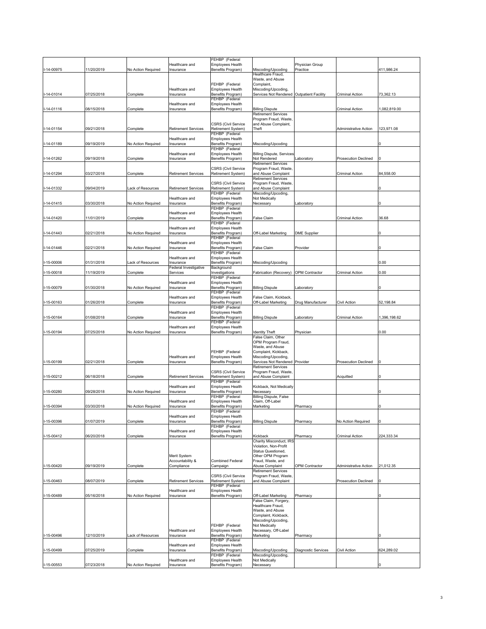|               |            |                    |                            | FEHBP (Federal                                          |                                                                  |                       |                              |              |
|---------------|------------|--------------------|----------------------------|---------------------------------------------------------|------------------------------------------------------------------|-----------------------|------------------------------|--------------|
|               |            |                    | Healthcare and             | <b>Employees Health</b>                                 |                                                                  | Physician Group       |                              |              |
| I-14-00975    | 11/20/2019 | No Action Required | Insurance                  | Benefits Program)                                       | Miscoding/Upcoding                                               | Practice              |                              | 411,986.24   |
|               |            |                    |                            |                                                         | Healthcare Fraud,                                                |                       |                              |              |
|               |            |                    |                            |                                                         | Waste, and Abuse                                                 |                       |                              |              |
|               |            |                    |                            | FEHBP (Federal                                          | Complaint,                                                       |                       |                              |              |
|               |            |                    | Healthcare and             | <b>Employees Health</b>                                 | Miscoding/Upcoding,<br>Services Not Rendered Outpatient Facility |                       | Criminal Action              |              |
| I-14-01014    | 07/25/2018 | Complete           | Insurance                  | Benefits Program)<br>FEHBP (Federal                     |                                                                  |                       |                              | 73,362.13    |
|               |            |                    | Healthcare and             | Employees Health                                        |                                                                  |                       |                              |              |
| I-14-01116    | 08/15/2018 | Complete           | Insurance                  | Benefits Program)                                       | <b>Billing Dispute</b>                                           |                       | Criminal Action              | 1,082,819.00 |
|               |            |                    |                            |                                                         | Retirement Services                                              |                       |                              |              |
|               |            |                    |                            |                                                         | Program Fraud, Waste,                                            |                       |                              |              |
|               |            |                    |                            | <b>CSRS (Civil Service</b>                              | and Abuse Complaint,                                             |                       |                              |              |
| I-14-01154    | 09/21/2018 | Complete           | Retirement Services        | Retirement System)<br>FEHBP (Federal                    | Theft                                                            |                       | <b>Administrative Action</b> | 123,971.08   |
|               |            |                    | Healthcare and             | <b>Employees Health</b>                                 |                                                                  |                       |                              |              |
| $-14 - 01189$ | 09/19/2019 | No Action Required | Insurance                  | Benefits Program)                                       | Miscoding/Upcoding                                               |                       |                              |              |
|               |            |                    |                            | FEHBP (Federal                                          |                                                                  |                       |                              |              |
|               |            |                    | Healthcare and             | <b>Employees Health</b>                                 | Billing Dispute, Services                                        |                       |                              |              |
| -14-01262     | 09/19/2018 | Complete           | Insurance                  | Benefits Program)                                       | Not Rendered                                                     | _aboratory            | Prosecution Declined         |              |
|               |            |                    |                            | <b>CSRS (Civil Service</b>                              | Retirement Services<br>Program Fraud, Waste                      |                       |                              |              |
| -14-01294     | 03/27/2018 | Complete           | Retirement Services        | Retirement System)                                      | and Abuse Complaint                                              |                       | Criminal Action              | 84,558.00    |
|               |            |                    |                            |                                                         | Retirement Services                                              |                       |                              |              |
|               |            |                    |                            | <b>CSRS (Civil Service</b>                              | Program Fraud, Waste                                             |                       |                              |              |
| -14-01332     | 09/04/2019 | ack of Resources   | <b>Retirement Services</b> | Retirement System)                                      | and Abuse Complaint                                              |                       |                              |              |
|               |            |                    |                            | FEHBP (Federal                                          | Miscoding/Upcoding,                                              |                       |                              |              |
|               |            |                    | Healthcare and             | Employees Health                                        | Not Medically                                                    |                       |                              |              |
| I-14-01415    | 03/30/2018 | No Action Required | Insurance                  | Benefits Program)                                       | Necessary                                                        | aboratory             |                              |              |
|               |            |                    | Healthcare and             | FEHBP (Federal<br>Employees Health                      |                                                                  |                       |                              |              |
| -14-01420     | 11/01/2019 | Complete           | Insurance                  | Benefits Program)                                       | <sup>=</sup> alse Claim                                          |                       | Criminal Action              | 36.68        |
|               |            |                    |                            | FEHBP (Federal                                          |                                                                  |                       |                              |              |
|               |            |                    | Healthcare and             | Employees Health                                        |                                                                  |                       |                              |              |
| I-14-01443    | 02/21/2018 | No Action Required | Insurance                  | Benefits Program)                                       | Off-Label Marketing                                              | <b>DME Supplier</b>   |                              |              |
|               |            |                    |                            | FEHBP (Federal                                          |                                                                  |                       |                              |              |
|               | 02/21/2018 | No Action Required | Healthcare and             | Employees Health                                        |                                                                  |                       |                              |              |
| I-14-01446    |            |                    | Insurance                  | Benefits Program)<br>FEHBP (Federal                     | False Claim                                                      | Provider              |                              |              |
|               |            |                    | Healthcare and             | Employees Health                                        |                                                                  |                       |                              |              |
| -15-00006     | 01/31/2018 | ack of Resources   | Insurance                  | Benefits Program)                                       | Miscoding/Upcoding                                               |                       |                              | 0.00         |
|               |            |                    | Federal Investigative      | Background                                              |                                                                  |                       |                              |              |
| -15-00018     | 1/19/2019  | Complete           | Services                   | Investigations                                          | Fabrication (Recovery)                                           | <b>OPM Contractor</b> | Criminal Action              | 0.00         |
|               |            |                    |                            | FEHBP (Federal                                          |                                                                  |                       |                              |              |
|               |            |                    | Healthcare and             | Employees Health                                        |                                                                  |                       |                              |              |
| -15-00079     | 01/30/2018 | No Action Required | Insurance                  | Benefits Program)<br>FEHBP (Federal                     | <b>Billing Dispute</b>                                           | _aboratory            |                              |              |
|               |            |                    | Healthcare and             | Employees Health                                        | False Claim, Kickback,                                           |                       |                              |              |
|               | 01/26/2018 | Complete           | Insurance                  | Benefits Program)                                       | Off-Label Marketing                                              | Drug Manufacturer     | Civil Action                 | 52,198.84    |
|               |            |                    |                            |                                                         |                                                                  |                       |                              |              |
| -15-00163     |            |                    |                            | FEHBP (Federal                                          |                                                                  |                       |                              |              |
|               |            |                    | Healthcare and             | <b>Employees Health</b>                                 |                                                                  |                       |                              |              |
| -15-00164     | 01/08/2018 | Complete           | Insurance                  | Benefits Program)                                       | <b>Billing Dispute</b>                                           | _aboratory            | Criminal Action              | 1,396,198.62 |
|               |            |                    |                            | FEHBP (Federal                                          |                                                                  |                       |                              |              |
|               |            |                    | Healthcare and             | Employees Health                                        |                                                                  |                       |                              |              |
| $-15 - 00194$ | 07/25/2018 | No Action Required | Insurance                  | Benefits Program)                                       | <b>Identity Theft</b>                                            | Physician             |                              | 0.00         |
|               |            |                    |                            |                                                         | False Claim, Other<br>OPM Program Fraud,                         |                       |                              |              |
|               |            |                    |                            |                                                         | Waste, and Abuse                                                 |                       |                              |              |
|               |            |                    |                            | FEHBP (Federal                                          | Complaint, Kickback,                                             |                       |                              |              |
|               |            |                    | Healthcare and             | <b>Employees Health</b>                                 | Miscoding/Upcoding,                                              |                       |                              |              |
| -15-00199     | 02/21/2018 | Complete           | Insurance                  | Benefits Program)                                       | Services Not Rendered Provider                                   |                       | Prosecution Declined         |              |
|               |            |                    |                            |                                                         | Retirement Services                                              |                       |                              |              |
|               |            |                    |                            | <b>CSRS (Civil Service</b>                              | Program Fraud, Waste,                                            |                       |                              |              |
| I-15-00212    | 06/18/2018 | Complete           | <b>Retirement Services</b> | Retirement System)<br>FEHBP (Federal                    | and Abuse Complaint                                              |                       | Acquitted                    |              |
|               |            |                    | Healthcare and             | Employees Health                                        | Kickback, Not Medically                                          |                       |                              |              |
| -15-00280     | 09/28/2018 | No Action Required | Insurance                  | Benefits Program)                                       | Necessary                                                        |                       |                              |              |
|               |            |                    |                            | FEHBP (Federal                                          | Billing Dispute, False                                           |                       |                              |              |
|               |            |                    | Healthcare and             | <b>Employees Health</b>                                 | Claim, Off-Label                                                 |                       |                              |              |
| -15-00394     | 03/30/2018 | No Action Required | Insurance                  | Benefits Program)<br>FEHBP (Federal                     | Marketing                                                        | Pharmacy              |                              |              |
|               |            |                    | Healthcare and             | <b>Employees Health</b>                                 |                                                                  |                       |                              |              |
| -15-00396     | 01/07/2019 | Complete           | Insurance                  | Benefits Program)                                       | <b>Billing Dispute</b>                                           | Pharmacy              | <b>Vo Action Required</b>    |              |
|               |            |                    |                            | FEHBP (Federal                                          |                                                                  |                       |                              |              |
|               |            |                    | Healthcare and             | <b>Employees Health</b>                                 |                                                                  |                       |                              |              |
| -15-00412     | 06/20/2018 | Complete           | Insurance                  | Benefits Program)                                       | Kickback                                                         | Pharmacy              | Criminal Action              | 224,333.34   |
|               |            |                    |                            |                                                         | Charity Misconduct, IRS                                          |                       |                              |              |
|               |            |                    |                            |                                                         | Violation, Non-Profit<br>Status Questioned,                      |                       |                              |              |
|               |            |                    | Merit System               |                                                         | Other OPM Program                                                |                       |                              |              |
|               |            |                    | Accountability &           | <b>Combined Federal</b>                                 | Fraud, Waste, and                                                |                       |                              |              |
| -15-00420     | 09/19/2019 | Complete           | Compliance                 | Campaign                                                | Abuse Complaint                                                  | <b>OPM Contractor</b> | Administrative Action        | 21,012.35    |
|               |            |                    |                            |                                                         | <b>Retirement Services</b>                                       |                       |                              |              |
|               |            |                    |                            | <b>CSRS (Civil Service</b>                              | Program Fraud, Waste,                                            |                       |                              |              |
| -15-00463     | 08/07/2019 | Complete           | <b>Retirement Services</b> | Retirement System)                                      | and Abuse Complaint                                              |                       | Prosecution Declined         |              |
|               |            |                    | Healthcare and             | FEHBP (Federal<br>Employees Health                      |                                                                  |                       |                              |              |
| -15-00489     | 05/16/2018 | No Action Required | Insurance                  | Benefits Program)                                       | Off-Label Marketing                                              | Pharmacy              |                              |              |
|               |            |                    |                            |                                                         | False Claim, Forgery,                                            |                       |                              |              |
|               |            |                    |                            |                                                         | Healthcare Fraud,                                                |                       |                              |              |
|               |            |                    |                            |                                                         | Waste, and Abuse                                                 |                       |                              |              |
|               |            |                    |                            |                                                         | Complaint, Kickback,                                             |                       |                              |              |
|               |            |                    |                            | FEHBP (Federal                                          | Miscoding/Upcoding,<br>Not Medically                             |                       |                              |              |
|               |            |                    | Healthcare and             | <b>Employees Health</b>                                 | Necessary, Off-Label                                             |                       |                              |              |
| I-15-00496    | 12/10/2019 | Lack of Resources  | Insurance                  | Benefits Program)                                       | Marketing                                                        | Pharmacy              |                              |              |
|               |            |                    |                            | FEHBP (Federal                                          |                                                                  |                       |                              |              |
|               |            |                    | Healthcare and             | <b>Employees Health</b>                                 |                                                                  |                       |                              |              |
| -15-00499     | 07/25/2019 | Complete           | Insurance                  | Benefits Program)                                       | Miscoding/Upcoding                                               | Diagnostic Services   | Civil Action                 | 624,289.02   |
|               |            |                    | Healthcare and             | FEHBP (Federal<br>Employees Health<br>Benefits Program) | Miscoding/Upcoding,<br>Not Medically                             |                       |                              |              |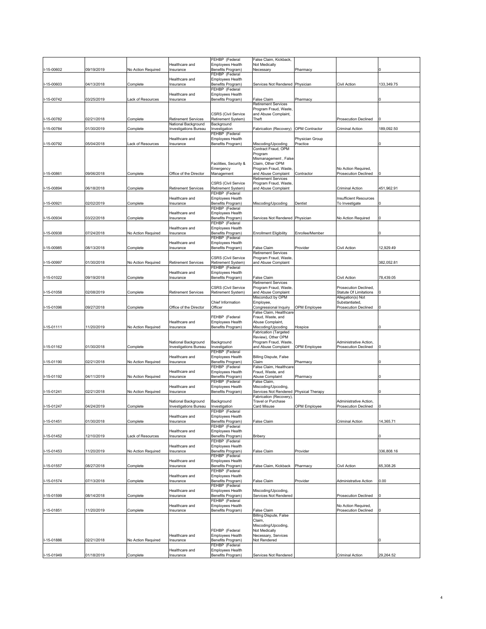|                  |            |                    |                              | FEHBP (Federal                               | False Claim, Kickback,                              |                       |                                                    |            |
|------------------|------------|--------------------|------------------------------|----------------------------------------------|-----------------------------------------------------|-----------------------|----------------------------------------------------|------------|
|                  |            |                    | Healthcare and               | Employees Health                             | Not Medically                                       |                       |                                                    |            |
| I-15-00602       | 09/19/2019 | No Action Required | nsurance                     | Benefits Program)                            | Necessary                                           | Pharmacy              |                                                    |            |
|                  |            |                    | lealthcare and               | FEHBP (Federal                               |                                                     |                       |                                                    |            |
| I-15-00603       | 04/13/2018 | Complete           | Insurance                    | Employees Health<br>Benefits Program)        | <b>Services Not Rendered</b>                        | Physician             | Civil Action                                       | 133,349.75 |
|                  |            |                    |                              | FEHBP (Federal                               |                                                     |                       |                                                    |            |
|                  |            |                    | Healthcare and               | Employees Health                             |                                                     |                       |                                                    |            |
| I-15-00742       | 03/25/2019 | ack of Resources   | Insurance                    | Benefits Program)                            | False Claim                                         | Pharmacy              |                                                    |            |
|                  |            |                    |                              |                                              | <b>Retirement Services</b><br>Program Fraud, Waste, |                       |                                                    |            |
|                  |            |                    |                              | <b>CSRS (Civil Service</b>                   | and Abuse Complaint,                                |                       |                                                    |            |
| I-15-00782       | 02/21/2018 | Complete           | Retirement Services          | Retirement System)                           | Theft                                               |                       | <b>Prosecution Declined</b>                        |            |
|                  |            |                    | National Background          | Background                                   |                                                     |                       |                                                    |            |
| -15-00784        | 01/30/2019 | Complete           | Investigations Bureau        | nvestigation                                 | Fabrication (Recovery)                              | <b>OPM Contractor</b> | Criminal Action                                    | 189,092.50 |
|                  |            |                    | Healthcare and               | FEHBP (Federal<br>Employees Health           |                                                     | Physician Group       |                                                    |            |
| I-15-00792       | 05/04/2018 | ack of Resources   | Insurance                    | Benefits Program)                            | Miscoding/Upcoding                                  | Practice              |                                                    |            |
|                  |            |                    |                              |                                              | Contract Fraud, OPM                                 |                       |                                                    |            |
|                  |            |                    |                              |                                              | Program                                             |                       |                                                    |            |
|                  |            |                    |                              |                                              | Mismanagement, False                                |                       |                                                    |            |
|                  |            |                    |                              | Facilities, Security &<br>Emergency          | Claim, Other OPM<br>Program Fraud, Waste,           |                       | No Action Required,                                |            |
| $1 - 15 - 00861$ | 09/06/2018 | Complete           | Office of the Director       | Management                                   | and Abuse Complaint                                 | Contractor            | <b>Prosecution Declined</b>                        |            |
|                  |            |                    |                              |                                              | Retirement Services                                 |                       |                                                    |            |
|                  |            |                    |                              | <b>CSRS (Civil Service</b>                   | Program Fraud, Waste,                               |                       |                                                    |            |
| -15-00894        | 06/18/2018 | Complete           | Retirement Services          | Retirement System)<br>FEHBP (Federal         | and Abuse Complaint                                 |                       | Criminal Action                                    | 451,962.91 |
|                  |            |                    | Healthcare and               | Employees Health                             |                                                     |                       | Insufficient Resources                             |            |
| I-15-00921       | 02/02/2019 | Complete           | Insurance                    | Benefits Program)                            | Miscoding/Upcoding                                  | Dentist               | To Investigate                                     |            |
|                  |            |                    |                              | FEHBP (Federal                               |                                                     |                       |                                                    |            |
|                  |            |                    | Healthcare and               | <b>Employees Health</b>                      |                                                     |                       |                                                    |            |
| -15-00934        | 03/22/2018 | Complete           | Insurance                    | Benefits Program)<br>FEHBP (Federal          | Services Not Rendered                               | Physician             | No Action Required                                 |            |
|                  |            |                    | Healthcare and               | Employees Health                             |                                                     |                       |                                                    |            |
| I-15-00938       | 07/24/2018 | No Action Required | Insurance                    | Benefits Program)                            | <b>Enrollment Eligibility</b>                       | Enrollee/Member       |                                                    |            |
|                  |            |                    |                              | FEHBP (Federal                               |                                                     |                       |                                                    |            |
|                  |            |                    | Healthcare and               | Employees Health                             |                                                     |                       |                                                    |            |
| -15-00985        | 08/13/2018 | Complete           | Insurance                    | Benefits Program)                            | False Claim<br>Retirement Services                  | Provider              | Civil Action                                       | 12,929.49  |
|                  |            |                    |                              | <b>CSRS (Civil Service</b>                   | Program Fraud, Waste,                               |                       |                                                    |            |
| I-15-00997       | 01/30/2018 | No Action Required | Retirement Services          | Retirement System)                           | and Abuse Complaint                                 |                       |                                                    | 382,052.81 |
|                  |            |                    |                              | FEHBP (Federal                               |                                                     |                       |                                                    |            |
|                  |            |                    | Healthcare and               | <b>Employees Health</b>                      |                                                     |                       |                                                    |            |
| -15-01022        | 09/19/2018 | Complete           | Insurance                    | Benefits Program)                            | False Claim<br>Retirement Services                  |                       | Civil Action                                       | 78,439.05  |
|                  |            |                    |                              | <b>CSRS (Civil Service</b>                   | Program Fraud, Waste                                |                       | Prosecution Declined,                              |            |
| I-15-01058       | 02/08/2019 | Complete           | <b>Retirement Services</b>   | Retirement System)                           | and Abuse Complaint                                 |                       | <b>Statute Of Limitations</b>                      |            |
|                  |            |                    |                              |                                              | Misconduct by OPM                                   |                       | Allegation(s) Not                                  |            |
|                  |            |                    |                              | Chief Information                            | Employee,                                           |                       | Substantiated,                                     |            |
| -15-01096        | 09/27/2018 | Complete           | Office of the Director       | Officer                                      | Congressional Inquiry<br>False Claim, Healthcare    | OPM Employee          | <b>Prosecution Declined</b>                        |            |
|                  |            |                    |                              | FEHBP (Federal                               | Fraud, Waste, and                                   |                       |                                                    |            |
|                  |            |                    | Healthcare and               | Employees Health                             | Abuse Complaint,                                    |                       |                                                    |            |
| I-15-01111       | 11/20/2019 | No Action Required | Insurance                    | Benefits Program)                            | Miscoding/Upcoding                                  | Hospice               |                                                    |            |
|                  |            |                    |                              |                                              | Fabrication (Targeted                               |                       |                                                    |            |
|                  |            |                    | National Background          | Background                                   | Review), Other OPM<br>Program Fraud, Waste          |                       | Administrative Action,                             |            |
| I-15-01162       | 01/30/2018 | Complete           | <b>Investigations Bureau</b> | nvestigation                                 | and Abuse Complaint                                 | OPM Employee          | <b>Prosecution Declined</b>                        |            |
|                  |            |                    |                              | FEHBP (Federal                               |                                                     |                       |                                                    |            |
|                  |            |                    | Healthcare and               | Employees Health                             | <b>Billing Dispute, False</b>                       |                       |                                                    |            |
| -15-01190        | 02/21/2018 | No Action Required | nsurance                     | Benefits Program)<br>FEHBP (Federal          | Claim<br>False Claim, Healthcare                    | Pharmacy              |                                                    |            |
|                  |            |                    | Healthcare and               | <b>Employees Health</b>                      | Fraud, Waste, and                                   |                       |                                                    |            |
| I-15-01192       | 04/11/2019 | No Action Required | nsurance                     | Benefits Program)                            | Abuse Complaint                                     | Pharmacy              |                                                    |            |
|                  |            |                    |                              | FEHBP (Federal                               | False Claim,                                        |                       |                                                    |            |
|                  |            |                    | Healthcare and               | Employees Health                             | Miscoding/Upcoding,                                 |                       |                                                    |            |
| I-15-01241       | 02/21/2018 | No Action Required | Insurance                    | Benefits Program)                            | Services Not Rendered                               | Physical Therapy      |                                                    |            |
|                  |            |                    | National Background          | Background                                   | Fabrication (Recovery),<br>Travel or Purchase       |                       | Administrative Action,                             |            |
| I-15-01247       | 04/24/2019 | Complete           | Investigations Bureau        | Investigation                                | Card Misuse                                         | <b>OPM Employee</b>   | <b>Prosecution Declined</b>                        |            |
|                  |            |                    |                              | FEHBP (Federal                               |                                                     |                       |                                                    |            |
|                  |            |                    | Healthcare and               | <b>Employees Health</b>                      |                                                     |                       |                                                    |            |
| I-15-01451       | 01/30/2018 | Complete           | nsurance                     | Benefits Program)<br>FEHBP (Federal          | False Claim                                         |                       | Criminal Action                                    | 14,365.71  |
|                  |            |                    | Healthcare and               | <b>Employees Health</b>                      |                                                     |                       |                                                    |            |
| I-15-01452       | 12/10/2019 | ack of Resources   | nsurance                     | Benefits Program)                            | Bribery                                             |                       |                                                    |            |
|                  |            |                    |                              | FEHBP (Federal                               |                                                     |                       |                                                    |            |
|                  | 11/20/2019 | No Action Required | Healthcare and               | <b>Employees Health</b><br>Benefits Program) | False Claim                                         |                       |                                                    |            |
| I-15-01453       |            |                    | Insurance                    | FEHBP (Federal                               |                                                     | Provider              |                                                    | 336,808.16 |
|                  |            |                    | Healthcare and               | <b>Employees Health</b>                      |                                                     |                       |                                                    |            |
| I-15-01557       | 08/27/2018 | Complete           | Insurance                    | Benefits Program)                            | False Claim, Kickback                               | Pharmacy              | Civil Action                                       | 65,308.26  |
|                  |            |                    |                              | FEHBP (Federal                               |                                                     |                       |                                                    |            |
| I-15-01574       | 07/13/2018 | Complete           | Healthcare and<br>Insurance  | <b>Employees Health</b><br>Benefits Program) | False Claim                                         | Provider              | Administrative Action                              | 0.00       |
|                  |            |                    |                              | FEHBP (Federal                               |                                                     |                       |                                                    |            |
|                  |            |                    | Healthcare and               | Employees Health                             | Miscoding/Upcoding,                                 |                       |                                                    |            |
| I-15-01599       | 08/14/2018 | Complete           | Insurance                    | Benefits Program)                            | Services Not Rendered                               |                       | <b>Prosecution Declined</b>                        |            |
|                  |            |                    |                              | FEHBP (Federal                               |                                                     |                       |                                                    |            |
| I-15-01851       | 11/20/2019 | Complete           | Healthcare and<br>Insurance  | <b>Employees Health</b><br>Benefits Program) | False Claim                                         |                       | No Action Required,<br><b>Prosecution Declined</b> |            |
|                  |            |                    |                              |                                              | <b>Billing Dispute, False</b>                       |                       |                                                    |            |
|                  |            |                    |                              |                                              | Claim,                                              |                       |                                                    |            |
|                  |            |                    |                              |                                              | Miscoding/Upcoding,                                 |                       |                                                    |            |
|                  |            |                    |                              | FEHBP (Federal                               | Not Medically                                       |                       |                                                    |            |
|                  | 02/21/2018 | No Action Required | Healthcare and<br>Insurance  | <b>Employees Health</b><br>Benefits Program) | Necessary, Services<br>Not Rendered                 |                       |                                                    |            |
| I-15-01886       |            |                    |                              | FEHBP (Federal                               |                                                     |                       |                                                    |            |
|                  |            |                    | Healthcare and               | Employees Health                             |                                                     |                       |                                                    |            |
| I-15-01949       | 01/18/2019 | Complete           | Insurance                    | Benefits Program)                            | Services Not Rendered                               |                       | Criminal Action                                    | 29,264.52  |

4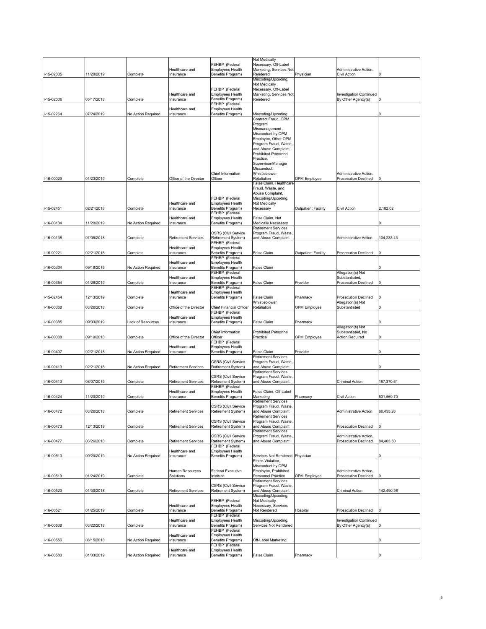|               |            |                    |                             |                                                  | <b>Not Medically</b>                                |                            |                                |            |
|---------------|------------|--------------------|-----------------------------|--------------------------------------------------|-----------------------------------------------------|----------------------------|--------------------------------|------------|
|               |            |                    |                             | FEHBP (Federal                                   | Necessary, Off-Label                                |                            |                                |            |
|               |            |                    | Healthcare and              | <b>Employees Health</b>                          | Marketing, Services Not                             |                            | Administrative Action,         |            |
| I-15-02035    | 11/20/2019 | Complete           | Insurance                   | Benefits Program)                                | Rendered                                            | Physician                  | Civil Action                   |            |
|               |            |                    |                             |                                                  | Miscoding/Upcoding,                                 |                            |                                |            |
|               |            |                    |                             |                                                  | Not Medically                                       |                            |                                |            |
|               |            |                    |                             | FEHBP (Federal                                   | Necessary, Off-Label                                |                            |                                |            |
|               |            |                    | Healthcare and              | Employees Health                                 | Marketing, Services Not                             |                            | <b>Investigation Continued</b> |            |
| -15-02036     | 05/17/2018 | Complete           | Insurance                   | Benefits Program)                                | Rendered                                            |                            | By Other Agency(s)             |            |
|               |            |                    |                             | FEHBP (Federal                                   |                                                     |                            |                                |            |
|               |            |                    | Healthcare and              | <b>Employees Health</b>                          |                                                     |                            |                                |            |
| -15-02264     | 07/24/2019 | No Action Required | Insurance                   | Benefits Program)                                | Miscoding/Upcoding<br>Contract Fraud, OPM           |                            |                                |            |
|               |            |                    |                             |                                                  | Program                                             |                            |                                |            |
|               |            |                    |                             |                                                  | Mismanagement,                                      |                            |                                |            |
|               |            |                    |                             |                                                  | Misconduct by OPM                                   |                            |                                |            |
|               |            |                    |                             |                                                  | Employee, Other OPM                                 |                            |                                |            |
|               |            |                    |                             |                                                  | Program Fraud, Waste,                               |                            |                                |            |
|               |            |                    |                             |                                                  | and Abuse Complaint,                                |                            |                                |            |
|               |            |                    |                             |                                                  | <b>Prohibited Personnel</b>                         |                            |                                |            |
|               |            |                    |                             |                                                  | Practice,                                           |                            |                                |            |
|               |            |                    |                             |                                                  | Supervisor/Manager                                  |                            |                                |            |
|               |            |                    |                             |                                                  | Misconduct,                                         |                            |                                |            |
|               |            |                    |                             | Chief Information                                | Whistleblower                                       |                            | Administrative Action,         |            |
| -16-00029     | 01/23/2019 | Complete           | Office of the Director      | Officer                                          | Retaliation                                         | OPM Employee               | <b>Prosecution Declined</b>    |            |
|               |            |                    |                             |                                                  | False Claim, Healthcare                             |                            |                                |            |
|               |            |                    |                             |                                                  | Fraud, Waste, and                                   |                            |                                |            |
|               |            |                    |                             | FEHBP (Federal                                   | Abuse Complaint,<br>Miscoding/Upcoding,             |                            |                                |            |
|               |            |                    | Healthcare and              | Employees Health                                 | Not Medically                                       |                            |                                |            |
| I-15-02451    | 02/21/2018 | Complete           | Insurance                   | Benefits Program)                                | Necessary                                           | <b>Outpatient Facility</b> | Civil Action                   | 2,102.02   |
|               |            |                    |                             | FEHBP (Federal                                   |                                                     |                            |                                |            |
|               |            |                    | Healthcare and              | Employees Health                                 | False Claim, Not                                    |                            |                                |            |
| -16-00134     | 1/20/2019  | No Action Required | Insurance                   | Benefits Program)                                | <b>Medically Necessary</b>                          |                            |                                |            |
|               |            |                    |                             |                                                  | <b>Retirement Services</b>                          |                            |                                |            |
|               |            |                    |                             | <b>CSRS (Civil Service</b>                       | Program Fraud, Waste,                               |                            |                                |            |
| -16-00138     | 07/05/2018 | Complete           | <b>Retirement Services</b>  | Retirement System)                               | and Abuse Complaint                                 |                            | Administrative Action          | 104,233.43 |
|               |            |                    |                             | FEHBP (Federal                                   |                                                     |                            |                                |            |
|               |            |                    | Healthcare and              | Employees Health                                 |                                                     |                            |                                |            |
| -16-00221     | 02/21/2018 | Complete           | Insurance                   | Benefits Program)                                | <b>False Claim</b>                                  | <b>Outpatient Facility</b> | <b>Prosecution Declined</b>    |            |
|               |            |                    |                             | FEHBP (Federal                                   |                                                     |                            |                                |            |
|               | 09/19/2019 |                    | Healthcare and<br>Insurance | Employees Health<br>Benefits Program)            | False Claim                                         |                            |                                |            |
| -16-00334     |            | No Action Required |                             | FEHBP (Federal                                   |                                                     |                            | Allegation(s) Not              |            |
|               |            |                    | Healthcare and              | Employees Health                                 |                                                     |                            | Substantiated,                 |            |
| -16-00354     | 01/28/2019 | Complete           | Insurance                   | Benefits Program)                                | False Claim                                         | Provider                   | <b>Prosecution Declined</b>    |            |
|               |            |                    |                             | FEHBP (Federal                                   |                                                     |                            |                                |            |
|               |            |                    | Healthcare and              | <b>Employees Health</b>                          |                                                     |                            |                                |            |
| -15-02454     | 12/13/2019 | Complete           | Insurance                   | Benefits Program)                                | <b>False Claim</b>                                  | Pharmacy                   | <b>Prosecution Declined</b>    |            |
|               |            |                    |                             |                                                  | Whistleblower                                       |                            | Allegation(s) Not              |            |
| -16-00368     | 03/26/2018 | Complete           | Office of the Director      | Chief Financial Officer                          | Retaliation                                         | OPM Employee               | Substantiated                  |            |
|               |            |                    |                             |                                                  |                                                     |                            |                                |            |
|               |            |                    |                             | FEHBP (Federal                                   |                                                     |                            |                                |            |
|               |            |                    | Healthcare and              | <b>Employees Health</b>                          |                                                     |                            |                                |            |
| I-16-00385    | 09/03/2019 | ack of Resources   | Insurance                   | Benefits Program)                                | False Claim                                         | Pharmacy                   |                                |            |
|               |            |                    |                             |                                                  |                                                     |                            | Allegation(s) Not              |            |
|               |            |                    |                             | Chief Information                                | <b>Prohibited Personnel</b>                         |                            | Substantiated, No              |            |
| I-16-00388    | 09/19/2018 | Complete           | Office of the Director      | Officer                                          | Practice                                            | OPM Employee               | <b>Action Required</b>         |            |
|               |            |                    |                             | FEHBP (Federal                                   |                                                     |                            |                                |            |
|               |            |                    | Healthcare and              | <b>Employees Health</b>                          |                                                     |                            |                                |            |
| -16-00407     | 02/21/2018 | No Action Required | Insurance                   | Benefits Program)                                | False Claim                                         | Provider                   |                                |            |
|               |            |                    |                             |                                                  | <b>Retirement Services</b>                          |                            |                                |            |
| -16-00410     | 02/21/2018 | No Action Required | <b>Retirement Services</b>  | <b>CSRS (Civil Service</b><br>Retirement System) | Program Fraud, Waste,<br>and Abuse Complaint        |                            |                                |            |
|               |            |                    |                             |                                                  | <b>Retirement Services</b>                          |                            |                                |            |
|               |            |                    |                             | <b>CSRS (Civil Service</b>                       | Program Fraud, Waste,                               |                            |                                |            |
| -16-00413     | 08/07/2019 | Complete           | <b>Retirement Services</b>  | Retirement System)                               | and Abuse Complaint                                 |                            | Criminal Action                | 187,370.61 |
|               |            |                    |                             | FEHBP (Federal                                   |                                                     |                            |                                |            |
|               |            |                    | Healthcare and              | Employees Health                                 | False Claim, Off-Label                              |                            |                                |            |
| I-16-00424    | 1/20/2019  | Complete           | Insurance                   | Benefits Program)                                | Marketing                                           | Pharmacy                   | Civil Action                   | 531,569.70 |
|               |            |                    |                             |                                                  | <b>Retirement Services</b>                          |                            |                                |            |
|               |            |                    |                             | <b>CSRS (Civil Service</b>                       | Program Fraud, Waste,                               |                            |                                |            |
| I-16-00472    | 03/26/2018 | Complete           | <b>Retirement Services</b>  | Retirement System)                               | and Abuse Complaint                                 |                            | Administrative Action          | 66,455.26  |
|               |            |                    |                             | <b>CSRS (Civil Service</b>                       | <b>Retirement Services</b><br>Program Fraud, Waste, |                            |                                |            |
| 16-00473      | 12/13/2019 | Complete           | <b>Retirement Services</b>  | Retirement System)                               | and Abuse Complaint                                 |                            | <b>Prosecution Declined</b>    |            |
|               |            |                    |                             |                                                  | <b>Retirement Services</b>                          |                            |                                |            |
|               |            |                    |                             | <b>CSRS (Civil Service</b>                       | Program Fraud, Waste,                               |                            | Administrative Action.         |            |
| $-16 - 00477$ | 03/26/2018 | Complete           | <b>Retirement Services</b>  | Retirement System)                               | and Abuse Complaint                                 |                            | <b>Prosecution Declined</b>    | 84,403.50  |
|               |            |                    |                             | FEHBP (Federal                                   |                                                     |                            |                                |            |
|               |            |                    | Healthcare and              | Employees Health                                 |                                                     |                            |                                |            |
| I-16-00510    | 09/20/2019 | No Action Required | Insurance                   | Benefits Program)                                | Services Not Rendered Physician                     |                            |                                |            |
|               |            |                    |                             |                                                  | Ethics Violation.                                   |                            |                                |            |
|               |            |                    |                             |                                                  | Misconduct by OPM                                   |                            |                                |            |
|               |            |                    | Human Resources             | <b>Federal Executive</b>                         | Employee, Prohibited                                |                            | Administrative Action,         |            |
| -16-00519     | 01/24/2019 | Complete           | Solutions                   | Institute                                        | Personnel Practice<br><b>Retirement Services</b>    | OPM Employee               | <b>Prosecution Declined</b>    |            |
|               |            |                    |                             | <b>CSRS (Civil Service</b>                       | Program Fraud, Waste,                               |                            |                                |            |
| -16-00520     | 01/30/2018 | Complete           | <b>Retirement Services</b>  | Retirement System)                               | and Abuse Complaint                                 |                            | Criminal Action                | 142,490.96 |
|               |            |                    |                             |                                                  | Miscoding/Upcoding,                                 |                            |                                |            |
|               |            |                    |                             | FEHBP (Federal                                   | Not Medically                                       |                            |                                |            |
|               |            |                    | Healthcare and              | <b>Employees Health</b>                          | Necessary, Services                                 |                            |                                |            |
| $-16 - 00521$ | 01/25/2019 | Complete           | Insurance                   | Benefits Program)                                | Not Rendered                                        | Hospital                   | <b>Prosecution Declined</b>    |            |
|               |            |                    |                             | FEHBP (Federal                                   |                                                     |                            |                                |            |
|               |            |                    | Healthcare and              | Employees Health                                 | Miscoding/Upcoding,                                 |                            | <b>Investigation Continued</b> |            |
| -16-00538     | 03/22/2018 | Complete           | Insurance                   | Benefits Program)                                | Services Not Rendered                               |                            | By Other Agency(s)             |            |
|               |            |                    |                             | FEHBP (Federal                                   |                                                     |                            |                                |            |
|               |            |                    | Healthcare and              | <b>Employees Health</b>                          |                                                     |                            |                                |            |
| -16-00556     | 08/15/2018 | No Action Required | Insurance                   | Benefits Program)<br>FEHBP (Federal              | Off-Label Marketing                                 |                            |                                |            |
| $-16 - 00580$ | 01/03/2019 | No Action Required | Healthcare and<br>Insurance | <b>Employees Health</b><br>Benefits Program)     | False Claim                                         | Pharmacy                   |                                |            |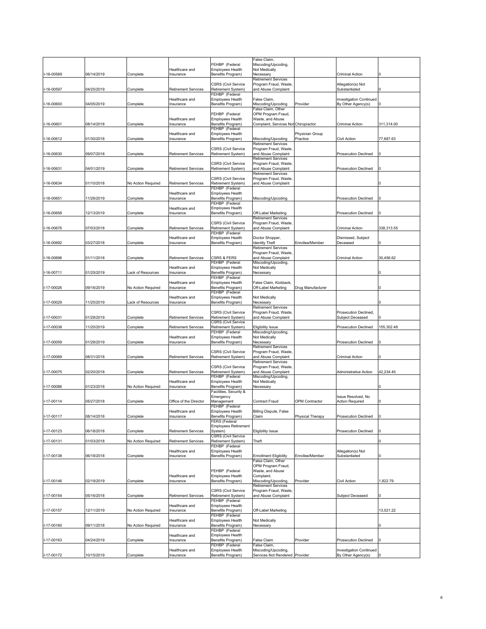|                   |            |                    |                             |                                                  | False Claim,                                          |                       |                                                      |            |
|-------------------|------------|--------------------|-----------------------------|--------------------------------------------------|-------------------------------------------------------|-----------------------|------------------------------------------------------|------------|
|                   |            |                    |                             | FEHBP (Federal                                   | Miscoding/Upcoding,                                   |                       |                                                      |            |
|                   |            |                    | Healthcare and              | <b>Employees Health</b>                          | Not Medically                                         |                       |                                                      |            |
| I-16-00589        | 06/14/2019 | Complete           | Insurance                   | Benefits Program)                                | Necessary                                             |                       | Criminal Action                                      |            |
|                   |            |                    |                             | <b>CSRS (Civil Service</b>                       | Retirement Services<br>Program Fraud, Waste,          |                       | Allegation(s) Not                                    |            |
| -16-00597         | 04/25/2019 | Complete           | <b>Retirement Services</b>  | Retirement System)                               | and Abuse Complaint                                   |                       | Substantiated                                        |            |
|                   |            |                    |                             | FEHBP (Federal                                   |                                                       |                       |                                                      |            |
|                   |            |                    | Healthcare and              | <b>Employees Health</b>                          | False Claim,                                          |                       | <b>Investigation Continued</b>                       |            |
| I-16-00600        | 04/05/2019 | Complete           | Insurance                   | Benefits Program)                                | Miscoding/Upcoding<br>False Claim, Other              | Provider              | By Other Agency(s)                                   |            |
|                   |            |                    |                             | FEHBP (Federal                                   | OPM Program Fraud,                                    |                       |                                                      |            |
|                   |            |                    | Healthcare and              | <b>Employees Health</b>                          | Waste, and Abuse                                      |                       |                                                      |            |
| 16-00601          | 08/14/2018 | Complete           | Insurance                   | Benefits Program)                                | Complaint, Services Not Chiropractor                  |                       | Criminal Action                                      | 311,314.00 |
|                   |            |                    | Healthcare and              | FEHBP (Federal<br>Employees Health               |                                                       | Physician Group       |                                                      |            |
| -16-00612         | 01/30/2018 | Complete           | Insurance                   | Benefits Program)                                | Miscoding/Upcoding                                    | Practice              | Civil Action                                         | 77,687.63  |
|                   |            |                    |                             |                                                  | <b>Retirement Services</b>                            |                       |                                                      |            |
|                   |            |                    |                             | <b>CSRS (Civil Service</b>                       | Program Fraud, Waste                                  |                       |                                                      |            |
| 16-00630          | 09/07/2018 | Complete           | <b>Retirement Services</b>  | Retirement System)                               | and Abuse Complaint<br><b>Retirement Services</b>     |                       | <b>Prosecution Declined</b>                          |            |
|                   |            |                    |                             | <b>CSRS (Civil Service</b>                       | Program Fraud, Waste                                  |                       |                                                      |            |
| -16-00631         | 04/01/2019 | Complete           | <b>Retirement Services</b>  | Retirement System)                               | and Abuse Complaint                                   |                       | <b>Prosecution Declined</b>                          |            |
|                   |            |                    |                             |                                                  | <b>Retirement Services</b>                            |                       |                                                      |            |
| 16-00634          | 01/10/2018 | No Action Required | <b>Retirement Services</b>  | <b>CSRS (Civil Service</b><br>Retirement System) | Program Fraud, Waste,<br>and Abuse Complaint          |                       |                                                      |            |
|                   |            |                    |                             | FEHBP (Federal                                   |                                                       |                       |                                                      |            |
|                   |            |                    | Healthcare and              | <b>Employees Health</b>                          |                                                       |                       |                                                      |            |
| -16-00651         | 11/26/2019 | Complete           | Insurance                   | Benefits Program)                                | Miscoding/Upcoding                                    |                       | <b>Prosecution Declined</b>                          |            |
|                   |            |                    | Healthcare and              | FEHBP (Federal<br>Employees Health               |                                                       |                       |                                                      |            |
| -16-00658         | 12/13/2019 | Complete           | Insurance                   | Benefits Program)                                | Off-Label Marketing                                   |                       | <b>Prosecution Declined</b>                          |            |
|                   |            |                    |                             |                                                  | <b>Retirement Services</b>                            |                       |                                                      |            |
|                   |            |                    |                             | <b>CSRS (Civil Service</b>                       | Program Fraud, Waste,                                 |                       |                                                      |            |
| -16-00676         | 07/03/2018 | Complete           | <b>Retirement Services</b>  | Retirement System)                               | and Abuse Complaint                                   |                       | Criminal Action                                      | 338,313.55 |
|                   |            |                    | Healthcare and              | FEHBP (Federal<br><b>Employees Health</b>        | Doctor Shopper,                                       |                       | Dismissed, Subject                                   |            |
| 16-00692          | 03/27/2018 | Complete           | Insurance                   | Benefits Program)                                | <b>Identity Theft</b>                                 | Enrollee/Member       | Deceased                                             |            |
|                   |            |                    |                             |                                                  | <b>Retirement Services</b>                            |                       |                                                      |            |
|                   |            |                    |                             |                                                  | Program Fraud, Waste,                                 |                       |                                                      |            |
| -16-00696         | 01/11/2018 | Complete           | <b>Retirement Services</b>  | CSRS & FERS<br>FEHBP (Federal                    | and Abuse Complaint<br>Miscoding/Upcoding,            |                       | Criminal Action                                      | 30,456.62  |
|                   |            |                    | Healthcare and              | Employees Health                                 | Not Medically                                         |                       |                                                      |            |
| -16-00711         | 01/25/2019 | Lack of Resources  | Insurance                   | Benefits Program)                                | Necessary                                             |                       |                                                      |            |
|                   |            |                    |                             | FEHBP (Federal                                   |                                                       |                       |                                                      |            |
| 17-00026          | 09/16/2019 |                    | Healthcare and<br>Insurance | <b>Employees Health</b><br>Benefits Program)     | False Claim, Kickback<br>Off-Label Marketing          | Drug Manufacturer     |                                                      |            |
|                   |            | No Action Required |                             | FEHBP (Federal                                   |                                                       |                       |                                                      |            |
|                   |            |                    | Healthcare and              | <b>Employees Health</b>                          | Not Medically                                         |                       |                                                      |            |
| -17-00029         | 11/25/2019 | Lack of Resources  | Insurance                   | Benefits Program)                                | Necessary                                             |                       |                                                      |            |
|                   |            |                    |                             | <b>CSRS (Civil Service</b>                       | <b>Retirement Services</b><br>Program Fraud, Waste,   |                       | Prosecution Declined,                                |            |
| -17-00031         | 01/28/2019 | Complete           | <b>Retirement Services</b>  | Retirement System)                               | and Abuse Complaint                                   |                       | Subject Deceased                                     |            |
|                   |            |                    |                             | <b>CSRS (Civil Service</b>                       |                                                       |                       |                                                      |            |
| I-17-00038        | 11/20/2019 | Complete           | <b>Retirement Services</b>  | Retirement System)                               | <b>Eligibility Issue</b>                              |                       | <b>Prosecution Declined</b>                          | 155,302.48 |
|                   |            |                    |                             | FEHBP (Federal                                   | Miscoding/Upcoding,<br>Not Medically                  |                       |                                                      |            |
| -17-00059         | 01/28/2019 | Complete           | Healthcare and<br>Insurance | Employees Health<br>Benefits Program)            | Necessary                                             |                       | <b>Prosecution Declined</b>                          |            |
|                   |            |                    |                             |                                                  | <b>Retirement Services</b>                            |                       |                                                      |            |
|                   |            |                    |                             | <b>CSRS (Civil Service</b>                       | Program Fraud, Waste,                                 |                       |                                                      |            |
| -17-00069         | 08/31/2018 | Complete           | <b>Retirement Services</b>  | Retirement System)                               | and Abuse Complaint<br><b>Retirement Services</b>     |                       | Criminal Action                                      |            |
|                   |            |                    |                             | <b>CSRS (Civil Service</b>                       | Program Fraud, Waste,                                 |                       |                                                      |            |
| -17-00075         | 02/20/2018 | Complete           | <b>Retirement Services</b>  | Retirement System)                               | and Abuse Complaint                                   |                       | Administrative Action                                | 42,234.45  |
|                   |            |                    |                             | FEHBP (Federal                                   | Miscoding/Upcoding,                                   |                       |                                                      |            |
|                   |            | No Action Required | Healthcare and              | Employees Health<br>Benefits Program)            | Not Medically<br>Necessary                            |                       |                                                      |            |
| -17-00086         | 01/23/2018 |                    | Insurance                   | Facilities, Security &                           |                                                       |                       |                                                      |            |
|                   |            |                    |                             | Emergency                                        |                                                       |                       | Issue Resolved, No                                   |            |
| $-17 - 00114$     | 05/27/2018 | Complete           | Office of the Director      | Management                                       | Contract Fraud                                        | <b>OPM Contractor</b> | <b>Action Required</b>                               |            |
|                   |            |                    | Healthcare and              | FEHBP (Federal<br><b>Employees Health</b>        | <b>Billing Dispute, False</b>                         |                       |                                                      |            |
| I-17-00117        | 08/14/2018 | Complete           | Insurance                   | Benefits Program)                                | Claim                                                 | Physical Therapy      | <b>Prosecution Declined</b>                          | O          |
|                   |            |                    |                             | FERS (Federal                                    |                                                       |                       |                                                      |            |
|                   |            |                    |                             | <b>Employees Retirement</b>                      |                                                       |                       |                                                      |            |
| I-17-00123        | 06/18/2018 | Complete           | <b>Retirement Services</b>  | System)<br><b>CSRS (Civil Service</b>            | <b>Eligibility Issue</b>                              |                       | Prosecution Declined                                 |            |
| <b>I-17-00131</b> | 01/03/2018 | No Action Required | <b>Retirement Services</b>  | Retirement System)                               | Theft                                                 |                       |                                                      |            |
|                   |            |                    |                             | FEHBP (Federal                                   |                                                       |                       |                                                      |            |
|                   |            |                    | Healthcare and              | Employees Health                                 |                                                       |                       | Allegation(s) Not                                    |            |
| I-17-00138        | 06/18/2018 | Complete           | Insurance                   | Benefits Program)                                | <b>Enrollment Eligibility</b><br>False Claim, Other   | Enrollee/Member       | Substantiated                                        |            |
|                   |            |                    |                             |                                                  | OPM Program Fraud,                                    |                       |                                                      |            |
|                   |            |                    |                             | FEHBP (Federal                                   | Waste, and Abuse                                      |                       |                                                      |            |
|                   |            |                    | Healthcare and              | Employees Health                                 | Complaint,                                            |                       |                                                      |            |
| I-17-00146        | 02/19/2019 | Complete           | Insurance                   | Benefits Program)                                | Miscoding/Upcoding,<br><b>Retirement Services</b>     | Provider              | Civil Action                                         | 1,822.79   |
|                   |            |                    |                             | <b>CSRS (Civil Service</b>                       | Program Fraud, Waste,                                 |                       |                                                      |            |
| I-17-00154        | 05/16/2018 | Complete           | <b>Retirement Services</b>  | Retirement System)                               | and Abuse Complaint                                   |                       | Subject Deceased                                     |            |
|                   |            |                    |                             | FEHBP (Federal                                   |                                                       |                       |                                                      |            |
| I-17-00157        | 12/11/2019 | No Action Required | Healthcare and<br>Insurance | Employees Health<br>Benefits Program)            | Off-Label Marketing                                   |                       |                                                      | 13,021.22  |
|                   |            |                    |                             |                                                  |                                                       |                       |                                                      |            |
|                   |            |                    |                             | FEHBP (Federal                                   |                                                       |                       |                                                      |            |
|                   |            |                    | Healthcare and              | Employees Health                                 | Not Medically                                         |                       |                                                      |            |
| I-17-00160        | 09/11/2018 | No Action Required | Insurance                   | Benefits Program)                                | Necessary                                             |                       |                                                      |            |
|                   |            |                    |                             | FEHBP (Federal                                   |                                                       |                       |                                                      |            |
|                   |            |                    | Healthcare and              | <b>Employees Health</b>                          |                                                       |                       |                                                      |            |
| I-17-00163        | 04/24/2019 | Complete           | Insurance                   | Benefits Program)<br>FEHBP (Federal              | False Claim<br>False Claim,                           | Provider              | Prosecution Declined                                 |            |
| I-17-00172        | 0/15/2019  | Complete           | Healthcare and<br>Insurance | <b>Employees Health</b><br>Benefits Program)     | Miscoding/Upcoding,<br>Services Not Rendered Provider |                       | <b>Investigation Continued</b><br>By Other Agency(s) |            |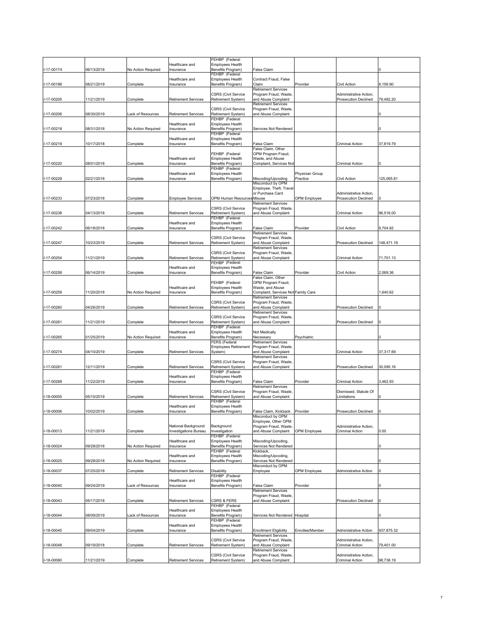|            |            |                    |                                                     | FEHBP (Federal                                   |                                                    |                             |                                                  |                |
|------------|------------|--------------------|-----------------------------------------------------|--------------------------------------------------|----------------------------------------------------|-----------------------------|--------------------------------------------------|----------------|
|            |            |                    | Healthcare and                                      | <b>Employees Health</b>                          |                                                    |                             |                                                  |                |
| I-17-00174 | 06/13/2018 | No Action Required | Insurance                                           | Benefits Program)                                | <b>False Claim</b>                                 |                             |                                                  |                |
|            |            |                    |                                                     | FEHBP (Federal                                   |                                                    |                             |                                                  |                |
|            |            |                    | Healthcare and                                      | <b>Employees Health</b>                          | Contract Fraud, False                              |                             |                                                  |                |
| I-17-00188 | 08/21/2019 | Complete           | Insurance                                           | Benefits Program)                                | Claim                                              | Provider                    | Civil Action                                     | 8,156.90       |
|            |            |                    |                                                     |                                                  | <b>Retirement Services</b>                         |                             |                                                  |                |
|            |            |                    |                                                     | <b>CSRS (Civil Service</b>                       | Program Fraud, Waste                               |                             | Administrative Action,                           |                |
| I-17-00205 | 1/21/2019  | Complete           | <b>Retirement Services</b>                          | Retirement System)                               | and Abuse Complaint                                |                             | Prosecution Declined                             | 79,482.20      |
|            |            |                    |                                                     |                                                  | <b>Retirement Services</b>                         |                             |                                                  |                |
|            |            |                    |                                                     | <b>CSRS (Civil Service</b>                       | Program Fraud, Waste,                              |                             |                                                  |                |
| I-17-00206 | 08/30/2019 | ack of Resources   | <b>Retirement Services</b>                          | Retirement System)                               | and Abuse Complaint                                |                             |                                                  |                |
|            |            |                    | Healthcare and                                      | FEHBP (Federal<br><b>Employees Health</b>        |                                                    |                             |                                                  |                |
| I-17-00218 | 08/31/2018 | No Action Required | Insurance                                           | Benefits Program)                                | Services Not Rendered                              |                             |                                                  |                |
|            |            |                    |                                                     | FEHBP (Federal                                   |                                                    |                             |                                                  |                |
|            |            |                    | Healthcare and                                      | Employees Health                                 |                                                    |                             |                                                  |                |
| I-17-00219 | 10/17/2018 | Complete           | Insurance                                           | Benefits Program)                                | False Claim                                        |                             | Criminal Action                                  | 37,819.79      |
|            |            |                    |                                                     |                                                  | False Claim, Other                                 |                             |                                                  |                |
|            |            |                    |                                                     | FEHBP (Federal                                   | OPM Program Fraud,                                 |                             |                                                  |                |
|            |            |                    | Healthcare and                                      | Employees Health                                 | Waste, and Abuse                                   |                             |                                                  |                |
| I-17-00220 | 08/01/2018 | Complete           | Insurance                                           | Benefits Program)                                | Complaint, Services Not                            |                             | Criminal Action                                  |                |
|            |            |                    |                                                     | FEHBP (Federal                                   |                                                    |                             |                                                  |                |
| I-17-00229 | 02/21/2018 |                    | Healthcare and                                      | <b>Employees Health</b>                          | Miscoding/Upcoding                                 | Physician Group<br>Practice | Civil Action                                     | 125,065.81     |
|            |            | Complete           | Insurance                                           | Benefits Program)                                | Misconduct by OPM                                  |                             |                                                  |                |
|            |            |                    |                                                     |                                                  | Employee, Theft, Travel                            |                             |                                                  |                |
|            |            |                    |                                                     |                                                  | or Purchase Card                                   |                             | Administrative Action.                           |                |
| I-17-00233 | 07/23/2018 | Complete           | <b>Employee Services</b>                            | OPM Human Resources Misuse                       |                                                    | OPM Employee                | <b>Prosecution Declined</b>                      |                |
|            |            |                    |                                                     |                                                  | Retirement Services                                |                             |                                                  |                |
|            |            |                    |                                                     | <b>CSRS (Civil Service</b>                       | Program Fraud, Waste                               |                             |                                                  |                |
| I-17-00238 | 04/13/2018 | Complete           | <b>Retirement Services</b>                          | Retirement System)                               | and Abuse Complaint                                |                             | Criminal Action                                  | 96,516.00      |
|            |            |                    |                                                     | FEHBP (Federal                                   |                                                    |                             |                                                  |                |
|            |            |                    | Healthcare and                                      | Employees Health                                 |                                                    |                             |                                                  |                |
| I-17-00242 | 06/18/2018 | Complete           | Insurance                                           | Benefits Program)                                | False Claim                                        | Provider                    | Civil Action                                     | 9,704.82       |
|            |            |                    |                                                     |                                                  | <b>Retirement Services</b>                         |                             |                                                  |                |
| I-17-00247 | 10/23/2019 | Complete           | <b>Retirement Services</b>                          | <b>CSRS (Civil Service</b><br>Retirement System) | Program Fraud, Waste<br>and Abuse Complaint        |                             | <b>Prosecution Declined</b>                      | 148,471.19     |
|            |            |                    |                                                     |                                                  | <b>Retirement Services</b>                         |                             |                                                  |                |
|            |            |                    |                                                     | <b>CSRS (Civil Service</b>                       | Program Fraud, Waste,                              |                             |                                                  |                |
| I-17-00254 | 11/21/2019 | Complete           | <b>Retirement Services</b>                          | Retirement System)                               | and Abuse Complaint                                |                             | Criminal Action                                  | 71,701.13      |
|            |            |                    |                                                     | FEHBP (Federal                                   |                                                    |                             |                                                  |                |
|            |            |                    | Healthcare and                                      | Employees Health                                 |                                                    |                             |                                                  |                |
| I-17-00258 | 06/14/2019 | Complete           | Insurance                                           | Benefits Program)                                | <b>False Claim</b>                                 | Provider                    | Civil Action                                     | 2,069.36       |
|            |            |                    |                                                     |                                                  | False Claim, Other                                 |                             |                                                  |                |
|            |            |                    |                                                     | FEHBP (Federal                                   | OPM Program Fraud,                                 |                             |                                                  |                |
|            |            |                    | Healthcare and                                      | Employees Health                                 | Waste, and Abuse                                   |                             |                                                  |                |
| I-17-00259 | 11/20/2018 | No Action Required | Insurance                                           | Benefits Program)                                | Complaint, Services Not Family Care                |                             |                                                  | 1,640.62       |
|            |            |                    |                                                     | <b>CSRS (Civil Service</b>                       | <b>Retirement Services</b><br>Program Fraud, Waste |                             |                                                  |                |
| I-17-00260 | 04/26/2019 | Complete           | <b>Retirement Services</b>                          | Retirement System)                               | and Abuse Complaint                                |                             | <b>Prosecution Declined</b>                      |                |
|            |            |                    |                                                     |                                                  | <b>Retirement Services</b>                         |                             |                                                  |                |
|            |            |                    |                                                     | <b>CSRS (Civil Service</b>                       | Program Fraud, Waste                               |                             |                                                  |                |
| I-17-00261 | 11/21/2019 | Complete           | <b>Retirement Services</b>                          | Retirement System)                               | and Abuse Complaint                                |                             | <b>Prosecution Declined</b>                      |                |
|            |            |                    |                                                     | FEHBP (Federal                                   |                                                    |                             |                                                  |                |
|            |            |                    | Healthcare and                                      | Employees Health                                 | Not Medically                                      |                             |                                                  |                |
| I-17-00265 | 01/25/2019 | No Action Required | Insurance                                           | Benefits Program)                                | Necessary                                          | Psychiatric                 |                                                  |                |
|            |            |                    |                                                     | FERS (Federal                                    | <b>Retirement Services</b>                         |                             |                                                  |                |
|            |            |                    |                                                     | <b>Employees Retirement</b>                      | Program Fraud, Waste,                              |                             |                                                  |                |
| I-17-00274 | 04/10/2019 | Complete           | <b>Retirement Services</b>                          | System)                                          | and Abuse Complaint                                |                             | Criminal Action                                  | 37,317.69      |
|            |            |                    |                                                     |                                                  | <b>Retirement Services</b>                         |                             |                                                  |                |
| I-17-00281 | 12/11/2019 | Complete           | <b>Retirement Services</b>                          | <b>CSRS (Civil Service</b><br>Retirement System) | Program Fraud, Waste,<br>and Abuse Complaint       |                             | <b>Prosecution Declined</b>                      | 30,095.16      |
|            |            |                    |                                                     | FEHBP (Federal                                   |                                                    |                             |                                                  |                |
|            |            |                    | Healthcare and                                      | Employees Health                                 |                                                    |                             |                                                  |                |
| I-17-00288 | 11/22/2019 | Complete           | Insurance                                           | Benefits Program)                                | False Claim                                        | Provider                    | Criminal Action                                  | 3,462.93       |
|            |            |                    |                                                     |                                                  | <b>Retirement Services</b>                         |                             |                                                  |                |
|            |            |                    |                                                     | <b>CSRS (Civil Service</b>                       | Program Fraud, Waste                               |                             | Dismissed, Statute Of                            |                |
| I-18-00005 | 05/10/2019 | Complete           | <b>Retirement Services</b>                          | Retirement System)                               | and Abuse Complaint                                |                             | Limitations                                      |                |
|            |            |                    |                                                     | FEHBP (Federal                                   |                                                    |                             |                                                  |                |
|            |            |                    | Healthcare and                                      | <b>Employees Health</b>                          |                                                    |                             |                                                  |                |
| I-18-00006 | 10/02/2019 | Complete           | Insurance                                           | Benefits Program)                                | False Claim, Kickback Provider                     |                             | <b>Prosecution Declined</b>                      | l <sub>0</sub> |
|            |            |                    |                                                     |                                                  | Misconduct by OPM                                  |                             |                                                  |                |
|            |            |                    |                                                     |                                                  | Employee, Other OPM<br>Program Fraud, Waste        |                             | Administrative Action,                           |                |
| I-18-00013 | 11/21/2019 | Complete           | National Background<br><b>Investigations Bureau</b> | Background<br>Investigation                      | and Abuse Complaint                                | OPM Employee                | <b>Criminal Action</b>                           | 0.00           |
|            |            |                    |                                                     | FEHBP (Federal                                   |                                                    |                             |                                                  |                |
|            |            |                    | Healthcare and                                      | <b>Employees Health</b>                          | Miscoding/Upcoding,                                |                             |                                                  |                |
| I-18-00024 | 09/28/2018 | No Action Required | Insurance                                           | Benefits Program)                                | Services Not Rendered                              |                             |                                                  |                |
|            |            |                    |                                                     | FEHBP (Federal                                   | Kickback,                                          |                             |                                                  |                |
|            |            |                    | Healthcare and                                      | Employees Health                                 | Miscoding/Upcoding,                                |                             |                                                  |                |
| I-18-00025 |            |                    |                                                     |                                                  |                                                    |                             |                                                  |                |
| I-18-00037 | 09/28/2018 | No Action Required | Insurance                                           | Benefits Program)                                | Services Not Rendered                              |                             |                                                  |                |
|            |            |                    |                                                     |                                                  | Misconduct by OPM                                  |                             |                                                  |                |
|            | 07/25/2018 | Complete           | <b>Retirement Services</b>                          | Disability                                       | Employee                                           | OPM Employee                | Administrative Action                            |                |
|            |            |                    |                                                     | FEHBP (Federal                                   |                                                    |                             |                                                  |                |
|            |            |                    | Healthcare and                                      | Employees Health                                 |                                                    |                             |                                                  |                |
| I-18-00040 | 09/24/2019 | ack of Resources   | Insurance                                           | Benefits Program)                                | False Claim                                        | Provider                    |                                                  |                |
|            |            |                    |                                                     |                                                  | <b>Retirement Services</b><br>Program Fraud, Waste |                             |                                                  |                |
| 18-00043   | 05/17/2018 | Complete           | <b>Retirement Services</b>                          | <b>CSRS &amp; FERS</b>                           | and Abuse Complaint                                |                             | Prosecution Declined                             |                |
|            |            |                    |                                                     | FEHBP (Federal                                   |                                                    |                             |                                                  |                |
|            |            |                    | Healthcare and                                      | Employees Health                                 |                                                    |                             |                                                  |                |
| I-18-00044 | 08/09/2019 | ack of Resources   | Insurance                                           | Benefits Program)                                | Services Not Rendered Hospital                     |                             |                                                  |                |
|            |            |                    |                                                     | FEHBP (Federal                                   |                                                    |                             |                                                  |                |
|            |            |                    | Healthcare and                                      | Employees Health                                 |                                                    |                             |                                                  |                |
| 18-00045   | 09/04/2019 | Complete           | Insurance                                           | Benefits Program)                                | <b>Enrollment Eligibility</b>                      | Enrollee/Member             | Administrative Action                            | 937,875.32     |
|            |            |                    |                                                     |                                                  | <b>Retirement Services</b>                         |                             |                                                  |                |
|            |            |                    |                                                     | <b>CSRS (Civil Service</b>                       | Program Fraud, Waste,                              |                             | Administrative Action,                           |                |
| -18-00048  | 09/19/2018 | Complete           | <b>Retirement Services</b>                          | Retirement System)                               | and Abuse Complaint                                |                             | Criminal Action                                  | 79,401.00      |
|            |            |                    |                                                     |                                                  | Retirement Services                                |                             |                                                  |                |
| I-18-00060 | 11/21/2019 | Complete           | <b>Retirement Services</b>                          | <b>CSRS (Civil Service</b><br>Retirement System) | Program Fraud, Waste<br>and Abuse Complaint        |                             | Administrative Action,<br><b>Criminal Action</b> | 98,738.19      |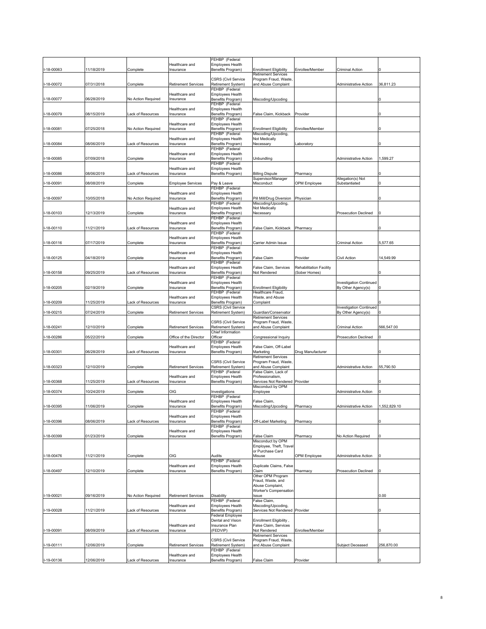|               |            |                    |                             | FEHBP (Federal                                          |                                                     |                                |                                |              |
|---------------|------------|--------------------|-----------------------------|---------------------------------------------------------|-----------------------------------------------------|--------------------------------|--------------------------------|--------------|
|               |            |                    | Healthcare and              | Employees Health                                        |                                                     |                                |                                |              |
| -18-00063     | 11/18/2019 | Complete           | Insurance                   | Benefits Program)                                       | <b>Enrollment Eligibility</b>                       | Enrollee/Member                | Criminal Action                |              |
|               |            |                    |                             | <b>CSRS (Civil Service</b>                              | Retirement Services<br>Program Fraud, Waste         |                                |                                |              |
| I-18-00072    | 07/31/2018 | Complete           | <b>Retirement Services</b>  | Retirement System)                                      | and Abuse Complaint                                 |                                | Administrative Action          | 36,811.23    |
|               |            |                    |                             | FEHBP (Federal                                          |                                                     |                                |                                |              |
|               |            |                    | Healthcare and              | Employees Health                                        |                                                     |                                |                                |              |
| I-18-00077    | 06/28/2019 | No Action Required | Insurance                   | Benefits Program)                                       | Miscoding/Upcoding                                  |                                |                                |              |
|               |            |                    | Healthcare and              | FEHBP (Federal<br><b>Employees Health</b>               |                                                     |                                |                                |              |
| I-18-00079    | 08/15/2019 | ack of Resources   | Insurance                   | Benefits Program)                                       | False Claim, Kickback                               | Provider                       |                                |              |
|               |            |                    |                             | FEHBP (Federal                                          |                                                     |                                |                                |              |
|               |            |                    | Healthcare and              | <b>Employees Health</b>                                 |                                                     |                                |                                |              |
| I-18-00081    | 07/25/2018 | No Action Required | Insurance                   | Benefits Program)                                       | <b>Enrollment Eligibility</b>                       | Enrollee/Member                |                                |              |
|               |            |                    |                             | FEHBP (Federal                                          | Miscoding/Upcoding,                                 |                                |                                |              |
| I-18-00084    | 08/06/2019 | ack of Resources   | Healthcare and<br>Insurance | Employees Health<br>Benefits Program)                   | Not Medically<br>Necessarv                          | aboratory                      |                                |              |
|               |            |                    |                             | FEHBP (Federal                                          |                                                     |                                |                                |              |
|               |            |                    | Healthcare and              | Employees Health                                        |                                                     |                                |                                |              |
| -18-00085     | 07/09/2018 | Complete           | Insurance                   | Benefits Program)                                       | Unbundling                                          |                                | Administrative Action          | 1,599.27     |
|               |            |                    |                             | FEHBP (Federal<br><b>Employees Health</b>               |                                                     |                                |                                |              |
| -18-00086     | 08/06/2019 | ack of Resources   | Healthcare and<br>Insurance | Benefits Program)                                       | <b>Billing Dispute</b>                              | Pharmacy                       |                                |              |
|               |            |                    |                             |                                                         | Supervisor/Manager                                  |                                | Allegation(s) Not              |              |
| $-18 - 00091$ | 08/08/2019 | Complete           | <b>Employee Services</b>    | Pay & Leave                                             | Misconduct                                          | OPM Employee                   | Substantiated                  |              |
|               |            |                    |                             | FEHBP (Federal                                          |                                                     |                                |                                |              |
|               |            |                    | Healthcare and              | <b>Employees Health</b>                                 |                                                     |                                |                                |              |
| I-18-00097    | 10/05/2018 | No Action Required | Insurance                   | Benefits Program)<br>FEHBP (Federal                     | Pill Mill/Drug Diversion<br>Miscoding/Upcoding,     | Physician                      |                                |              |
|               |            |                    | Healthcare and              | <b>Employees Health</b>                                 | Not Medically                                       |                                |                                |              |
| I-18-00103    | 12/13/2019 | Complete           | Insurance                   | Benefits Program)                                       | Necessary                                           |                                | <b>Prosecution Declined</b>    |              |
|               |            |                    |                             | FEHBP (Federal                                          |                                                     |                                |                                |              |
|               |            |                    | Healthcare and<br>Insurance | Employees Health                                        |                                                     |                                |                                |              |
| I-18-00110    | 11/21/2019 | ack of Resources   |                             | Benefits Program)<br>FEHBP (Federal                     | False Claim, Kickback                               | Pharmacy                       |                                |              |
|               |            |                    | Healthcare and              | <b>Employees Health</b>                                 |                                                     |                                |                                |              |
| I-18-00116    | 07/17/2019 | Complete           | Insurance                   | Benefits Program)                                       | Carrier Admin Issue                                 |                                | Criminal Action                | 5,577.65     |
|               |            |                    |                             | FEHBP (Federal                                          |                                                     |                                |                                |              |
| I-18-00125    | 04/18/2019 | Complete           | Healthcare and<br>Insurance | Employees Health<br>Benefits Program)                   | <b>False Claim</b>                                  | Provider                       | Civil Action                   | 14,549.99    |
|               |            |                    |                             | FEHBP (Federal                                          |                                                     |                                |                                |              |
|               |            |                    | Healthcare and              | <b>Employees Health</b>                                 | False Claim, Services                               | <b>Rehabilitation Facility</b> |                                |              |
| I-18-00158    | 09/25/2019 | ack of Resources   | Insurance                   | Benefits Program)                                       | Not Rendered                                        | (Sober Homes)                  |                                |              |
|               |            |                    |                             | FEHBP (Federal                                          |                                                     |                                |                                |              |
| -18-00205     | 02/19/2019 |                    | Healthcare and              | <b>Employees Health</b>                                 |                                                     |                                | <b>Investigation Continued</b> |              |
|               |            | Complete           | Insurance                   | Benefits Program)<br>FEHBP (Federal                     | <b>Enrollment Eligibility</b><br>Healthcare Fraud,  |                                | By Other Agency(s)             |              |
|               |            |                    | Healthcare and              | <b>Employees Health</b>                                 | Waste, and Abuse                                    |                                |                                |              |
| 18-00209      | 11/25/2019 | ack of Resources   | Insurance                   | Benefits Program)                                       | Complaint                                           |                                |                                |              |
|               |            |                    |                             | <b>CSRS (Civil Service</b>                              |                                                     |                                | <b>Investigation Continued</b> |              |
| I-18-00215    | 07/24/2019 | Complete           | <b>Retirement Services</b>  | Retirement System)                                      | Guardian/Conservator                                |                                | By Other Agency(s)             |              |
|               |            |                    |                             | <b>CSRS (Civil Service</b>                              | <b>Retirement Services</b><br>Program Fraud, Waste, |                                |                                |              |
| -18-00241     | 12/10/2019 | Complete           | <b>Retirement Services</b>  | Retirement System)                                      | and Abuse Complaint                                 |                                | Criminal Action                | 566,547.00   |
|               |            |                    |                             | Chief Information                                       |                                                     |                                |                                |              |
| 18-00286      | 05/22/2019 | Complete           | Office of the Director      | Officer                                                 | Congressional Inquiry                               |                                | <b>Prosecution Declined</b>    |              |
|               |            |                    | Healthcare and              | FEHBP (Federal<br><b>Employees Health</b>               | False Claim, Off-Label                              |                                |                                |              |
| I-18-00301    | 06/28/2019 | ack of Resources   | Insurance                   | Benefits Program)                                       | Marketing                                           | Drug Manufacturer              |                                |              |
|               |            |                    |                             |                                                         | <b>Retirement Services</b>                          |                                |                                |              |
|               |            |                    |                             | <b>CSRS (Civil Service</b>                              | Program Fraud, Waste                                |                                |                                |              |
| I-18-00323    | 12/10/2019 | Complete           | <b>Retirement Services</b>  | Retirement System)                                      | and Abuse Complaint                                 |                                | Administrative Action          | 55,790.50    |
|               |            |                    |                             |                                                         |                                                     |                                |                                |              |
| 18-00368      | 11/25/2019 |                    |                             | FEHBP (Federal                                          | False Claim, Lack of                                |                                |                                |              |
|               |            |                    | Healthcare and              | <b>Employees Health</b>                                 | Professionalism,                                    |                                |                                |              |
|               |            | ack of Resources.  | Insurance                   | Benefits Program)                                       | Services Not Rendered<br>Misconduct by OPM          | Provider                       |                                |              |
| I-18-00374    | 10/24/2019 | Complete           | OIG                         | Investigations                                          | Employee                                            |                                | Administrative Action          |              |
|               |            |                    |                             | FEHBP (Federal                                          |                                                     |                                |                                |              |
|               |            |                    | Healthcare and              | Employees Health                                        | False Claim,                                        |                                |                                |              |
| -18-00395     | 11/06/2019 | Complete           | Insurance                   | Benefits Program)<br>FEHBP (Federal                     | Miscoding/Upcoding                                  | Pharmacy                       | Administrative Action          | 1,552,829.10 |
|               |            |                    | Healthcare and              | <b>Employees Health</b>                                 |                                                     |                                |                                |              |
| I-18-00396    | 08/06/2019 | ack of Resources   | Insurance                   | Benefits Program)                                       | Off-Label Marketing                                 | Pharmacy                       |                                |              |
|               |            |                    |                             | FEHBP (Federal                                          |                                                     |                                |                                |              |
|               |            |                    | Healthcare and              | Employees Health                                        |                                                     |                                |                                |              |
| I-18-00399    | 01/23/2019 | Complete           | Insurance                   | Benefits Program)                                       | False Claim<br>Misconduct by OPM                    | Pharmacy                       | No Action Required             |              |
|               |            |                    |                             |                                                         | Employee, Theft, Travel                             |                                |                                |              |
|               |            |                    |                             |                                                         | or Purchase Card                                    |                                |                                |              |
| I-18-00476    | 1/21/2019  | Complete           | OIG                         | Audits                                                  | Misuse                                              | OPM Employee                   | Administrative Action          |              |
|               |            |                    | Healthcare and              | FEHBP (Federal                                          |                                                     |                                |                                |              |
| I-18-00497    | 12/10/2019 | Complete           | Insurance                   | Employees Health<br>Benefits Program)                   | Duplicate Claims, False<br>Claim                    | Pharmacy                       | Prosecution Declined           |              |
|               |            |                    |                             |                                                         | Other OPM Program                                   |                                |                                |              |
|               |            |                    |                             |                                                         | Fraud, Waste, and                                   |                                |                                |              |
|               |            |                    |                             |                                                         | Abuse Complaint,                                    |                                |                                |              |
|               | 09/16/2019 | No Action Required | <b>Retirement Services</b>  | Disability                                              | Worker's Compensation<br>Issue                      |                                |                                | 0.00         |
| I-19-00021    |            |                    |                             | FEHBP (Federal                                          | False Claim,                                        |                                |                                |              |
|               |            |                    | Healthcare and              | Employees Health                                        | Miscoding/Upcoding,                                 |                                |                                |              |
| I-19-00028    | 11/21/2019 | ack of Resources   | Insurance                   | Benefits Program)                                       | Services Not Rendered Provider                      |                                |                                |              |
|               |            |                    |                             | Federal Employee                                        |                                                     |                                |                                |              |
|               |            |                    | Healthcare and              | Dental and Vision<br>Insurance Plan                     | Enrollment Eligibility,<br>False Claim, Services    |                                |                                |              |
| I-19-00091    | 08/09/2019 | ack of Resources   | Insurance                   | (FEDVIP)                                                | Not Rendered                                        | Enrollee/Member                |                                |              |
|               |            |                    |                             |                                                         | <b>Retirement Services</b>                          |                                |                                |              |
|               |            |                    |                             | <b>CSRS (Civil Service</b>                              | Program Fraud, Waste                                |                                |                                |              |
| I-19-00111    | 12/06/2019 | Complete           | <b>Retirement Services</b>  | Retirement System)                                      | and Abuse Complaint                                 |                                | Subject Deceased               | 256,870.00   |
| I-19-00136    | 12/06/2019 | Lack of Resources  | Healthcare and              | FEHBP (Federal<br>Employees Health<br>Benefits Program) | False Claim                                         | Provider                       |                                |              |